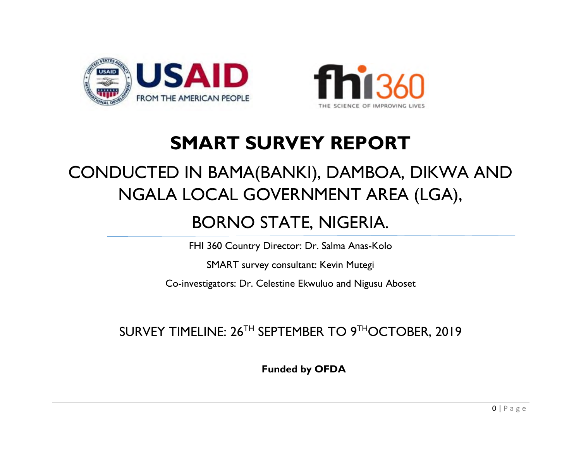



# **SMART SURVEY REPORT**

# CONDUCTED IN BAMA(BANKI), DAMBOA, DIKWA AND NGALA LOCAL GOVERNMENT AREA (LGA),

## BORNO STATE, NIGERIA.

FHI 360 Country Director: Dr. Salma Anas-Kolo

SMART survey consultant: Kevin Mutegi

Co-investigators: Dr. Celestine Ekwuluo and Nigusu Aboset

## SURVEY TIMELINE: 26<sup>TH</sup> SEPTEMBER TO 9<sup>TH</sup>OCTOBER, 2019

**Funded by OFDA**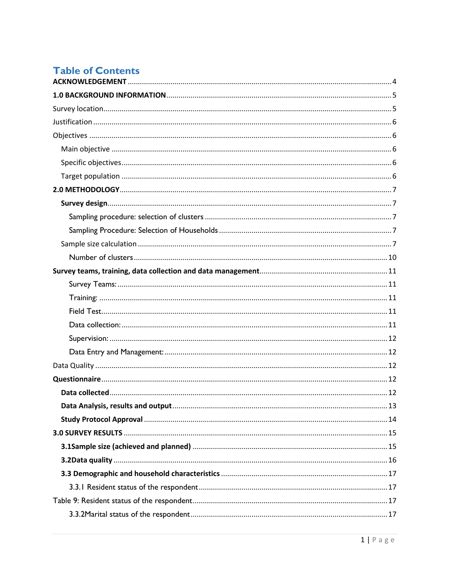## **Table of Contents**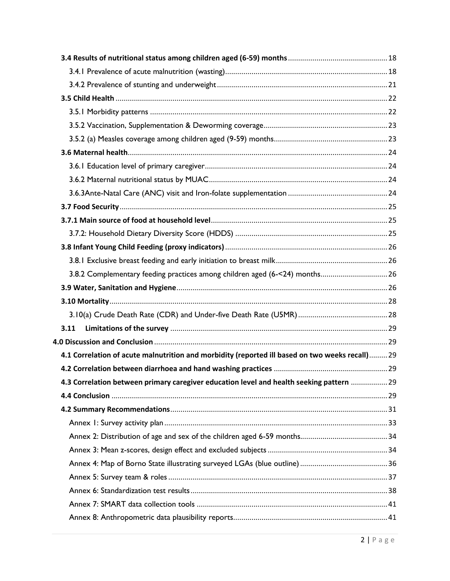| 3.8.2 Complementary feeding practices among children aged (6-<24) months 26                     |  |
|-------------------------------------------------------------------------------------------------|--|
|                                                                                                 |  |
|                                                                                                 |  |
|                                                                                                 |  |
| 3.11                                                                                            |  |
|                                                                                                 |  |
| 4.1 Correlation of acute malnutrition and morbidity (reported ill based on two weeks recall) 29 |  |
|                                                                                                 |  |
| 4.3 Correlation between primary caregiver education level and health seeking pattern  29        |  |
|                                                                                                 |  |
|                                                                                                 |  |
|                                                                                                 |  |
|                                                                                                 |  |
|                                                                                                 |  |
|                                                                                                 |  |
|                                                                                                 |  |
|                                                                                                 |  |
|                                                                                                 |  |
|                                                                                                 |  |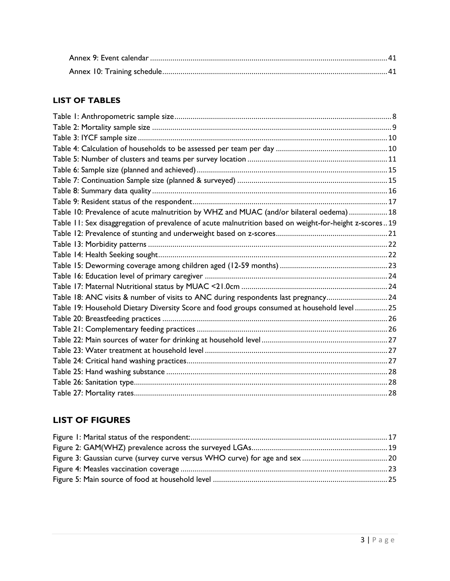## **LIST OF TABLES**

| Table 10: Prevalence of acute malnutrition by WHZ and MUAC (and/or bilateral oedema) 18                |  |
|--------------------------------------------------------------------------------------------------------|--|
| Table 11: Sex disaggregation of prevalence of acute malnutrition based on weight-for-height z-scores19 |  |
|                                                                                                        |  |
|                                                                                                        |  |
|                                                                                                        |  |
|                                                                                                        |  |
|                                                                                                        |  |
|                                                                                                        |  |
| Table 18: ANC visits & number of visits to ANC during respondents last pregnancy24                     |  |
| Table 19: Household Dietary Diversity Score and food groups consumed at household level  25            |  |
|                                                                                                        |  |
|                                                                                                        |  |
|                                                                                                        |  |
|                                                                                                        |  |
|                                                                                                        |  |
|                                                                                                        |  |
|                                                                                                        |  |
|                                                                                                        |  |

## **LIST OF FIGURES**

<span id="page-3-0"></span>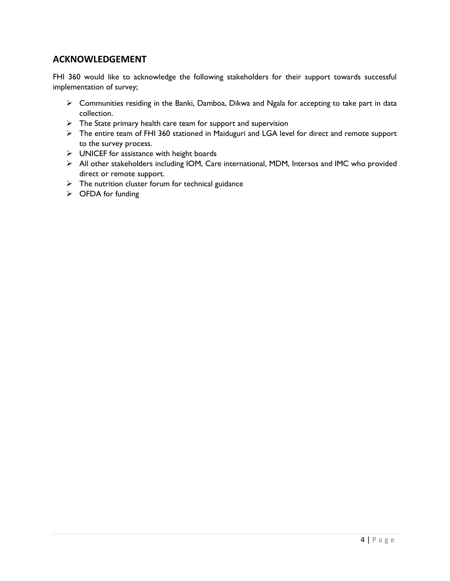## **ACKNOWLEDGEMENT**

FHI 360 would like to acknowledge the following stakeholders for their support towards successful implementation of survey;

- ➢ Communities residing in the Banki, Damboa, Dikwa and Ngala for accepting to take part in data collection.
- ➢ The State primary health care team for support and supervision
- ➢ The entire team of FHI 360 stationed in Maiduguri and LGA level for direct and remote support to the survey process.
- ➢ UNICEF for assistance with height boards
- ➢ All other stakeholders including IOM, Care international, MDM, Intersos and IMC who provided direct or remote support.
- $\triangleright$  The nutrition cluster forum for technical guidance
- ➢ OFDA for funding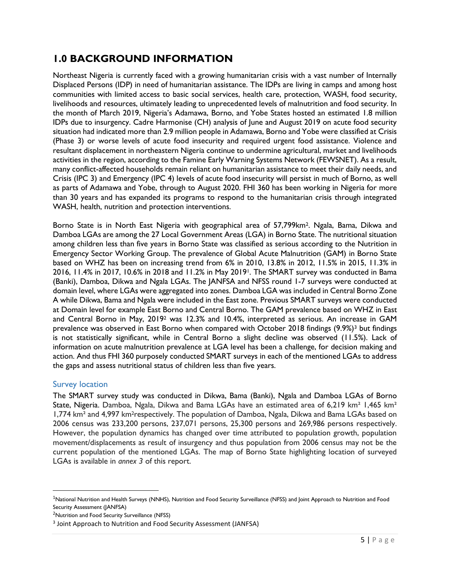## <span id="page-5-0"></span>**1.0 BACKGROUND INFORMATION**

Northeast Nigeria is currently faced with a growing humanitarian crisis with a vast number of Internally Displaced Persons (IDP) in need of humanitarian assistance. The IDPs are living in camps and among host communities with limited access to basic social services, health care, protection, WASH, food security, livelihoods and resources, ultimately leading to unprecedented levels of malnutrition and food security. In the month of March 2019, Nigeria's Adamawa, Borno, and Yobe States hosted an estimated 1.8 million IDPs due to insurgency. Cadre Harmonise (CH) analysis of June and August 2019 on acute food security situation had indicated more than 2.9 million people in Adamawa, Borno and Yobe were classified at Crisis (Phase 3) or worse levels of acute food insecurity and required urgent food assistance. Violence and resultant displacement in northeastern Nigeria continue to undermine agricultural, market and livelihoods activities in the region, according to the Famine Early Warning Systems Network (FEWSNET). As a result, many conflict-affected households remain reliant on humanitarian assistance to meet their daily needs, and Crisis (IPC 3) and Emergency (IPC 4) levels of acute food insecurity will persist in much of Borno, as well as parts of Adamawa and Yobe, through to August 2020. FHI 360 has been working in Nigeria for more than 30 years and has expanded its programs to respond to the humanitarian crisis through integrated WASH, health, nutrition and protection interventions.

Borno State is in North East Nigeria with geographical area of 57,799km<sup>2</sup>. Ngala, Bama, Dikwa and Damboa LGAs are among the 27 Local Government Areas (LGA) in Borno State. The nutritional situation among children less than five years in Borno State was classified as serious according to the Nutrition in Emergency Sector Working Group. The prevalence of Global Acute Malnutrition (GAM) in Borno State based on WHZ has been on increasing trend from 6% in 2010, 13.8% in 2012, 11.5% in 2015, 11.3% in 2016, 11.4% in 2017, 10.6% in 2018 and 11.2% in May 20191. The SMART survey was conducted in Bama (Banki), Damboa, Dikwa and Ngala LGAs. The JANFSA and NFSS round 1-7 surveys were conducted at domain level, where LGAs were aggregated into zones. Damboa LGA was included in Central Borno Zone A while Dikwa, Bama and Ngala were included in the East zone. Previous SMART surveys were conducted at Domain level for example East Borno and Central Borno. The GAM prevalence based on WHZ in East and Central Borno in May, 2019<sup>2</sup> was 12.3% and 10.4%, interpreted as serious. An increase in GAM prevalence was observed in East Borno when compared with October 2018 findings (9.9%)<sup>3</sup> but findings is not statistically significant, while in Central Borno a slight decline was observed (11.5%). Lack of information on acute malnutrition prevalence at LGA level has been a challenge, for decision making and action. And thus FHI 360 purposely conducted SMART surveys in each of the mentioned LGAs to address the gaps and assess nutritional status of children less than five years.

## <span id="page-5-1"></span>Survey location

l

The SMART survey study was conducted in Dikwa, Bama (Banki), Ngala and Damboa LGAs of Borno State, Nigeria. Damboa, Ngala, Dikwa and Bama LGAs have an estimated area of 6,219 km² 1,465 km² 1,774 km² and 4,997 km2respectively. The population of Damboa, Ngala, Dikwa and Bama LGAs based on 2006 census was 233,200 persons, 237,071 persons, 25,300 persons and 269,986 persons respectively. However, the population dynamics has changed over time attributed to population growth, population movement/displacements as result of insurgency and thus population from 2006 census may not be the current population of the mentioned LGAs. The map of Borno State highlighting location of surveyed LGAs is available in *annex 3* of this report.

<sup>&</sup>lt;sup>1</sup>National Nutrition and Health Surveys (NNHS), Nutrition and Food Security Surveillance (NFSS) and Joint Approach to Nutrition and Food Security Assessment (JANFSA)

<sup>&</sup>lt;sup>2</sup>Nutrition and Food Security Surveillance (NFSS)

<sup>&</sup>lt;sup>3</sup> Joint Approach to Nutrition and Food Security Assessment (JANFSA)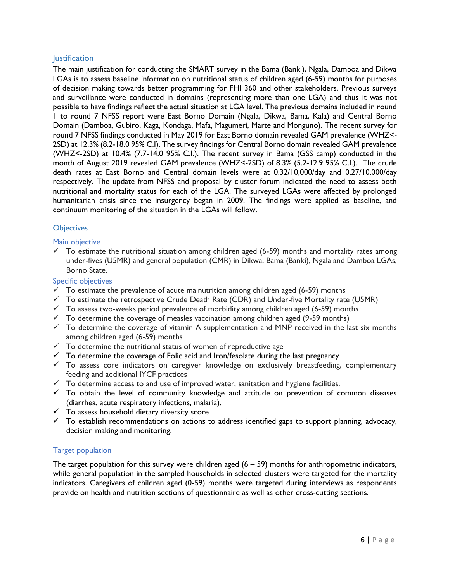## <span id="page-6-0"></span>**Justification**

The main justification for conducting the SMART survey in the Bama (Banki), Ngala, Damboa and Dikwa LGAs is to assess baseline information on nutritional status of children aged (6-59) months for purposes of decision making towards better programming for FHI 360 and other stakeholders. Previous surveys and surveillance were conducted in domains (representing more than one LGA) and thus it was not possible to have findings reflect the actual situation at LGA level. The previous domains included in round 1 to round 7 NFSS report were East Borno Domain (Ngala, Dikwa, Bama, Kala) and Central Borno Domain (Damboa, Gubiro, Kaga, Kondaga, Mafa, Magumeri, Marte and Monguno). The recent survey for round 7 NFSS findings conducted in May 2019 for East Borno domain revealed GAM prevalence (WHZ<- 2SD) at 12.3% (8.2-18.0 95% C.I). The survey findings for Central Borno domain revealed GAM prevalence (WHZ<-2SD) at 10.4% (7.7-14.0 95% C.I.). The recent survey in Bama (GSS camp) conducted in the month of August 2019 revealed GAM prevalence (WHZ<-2SD) of 8.3% (5.2-12.9 95% C.I.). The crude death rates at East Borno and Central domain levels were at 0.32/10,000/day and 0.27/10,000/day respectively. The update from NFSS and proposal by cluster forum indicated the need to assess both nutritional and mortality status for each of the LGA. The surveyed LGAs were affected by prolonged humanitarian crisis since the insurgency began in 2009. The findings were applied as baseline, and continuum monitoring of the situation in the LGAs will follow.

## <span id="page-6-1"></span>**Objectives**

## <span id="page-6-2"></span>Main objective

 $\checkmark$  To estimate the nutritional situation among children aged (6-59) months and mortality rates among under-fives (U5MR) and general population (CMR) in Dikwa, Bama (Banki), Ngala and Damboa LGAs, Borno State.

#### <span id="page-6-3"></span>Specific objectives

- $\checkmark$  To estimate the prevalence of acute malnutrition among children aged (6-59) months
- $\checkmark$  To estimate the retrospective Crude Death Rate (CDR) and Under-five Mortality rate (U5MR)
- $\checkmark$  To assess two-weeks period prevalence of morbidity among children aged (6-59) months
- $\checkmark$  To determine the coverage of measles vaccination among children aged (9-59 months)
- $\checkmark$  To determine the coverage of vitamin A supplementation and MNP received in the last six months among children aged (6-59) months
- $\checkmark$  To determine the nutritional status of women of reproductive age
- $\checkmark$  To determine the coverage of Folic acid and Iron/fesolate during the last pregnancy
- $\checkmark$  To assess core indicators on caregiver knowledge on exclusively breastfeeding, complementary feeding and additional IYCF practices
- $\checkmark$  To determine access to and use of improved water, sanitation and hygiene facilities.
- $\checkmark$  To obtain the level of community knowledge and attitude on prevention of common diseases (diarrhea, acute respiratory infections, malaria).
- $\checkmark$  To assess household dietary diversity score
- $\checkmark$  To establish recommendations on actions to address identified gaps to support planning, advocacy, decision making and monitoring.

## <span id="page-6-4"></span>Target population

The target population for this survey were children aged  $(6 - 59)$  months for anthropometric indicators, while general population in the sampled households in selected clusters were targeted for the mortality indicators. Caregivers of children aged (0-59) months were targeted during interviews as respondents provide on health and nutrition sections of questionnaire as well as other cross-cutting sections.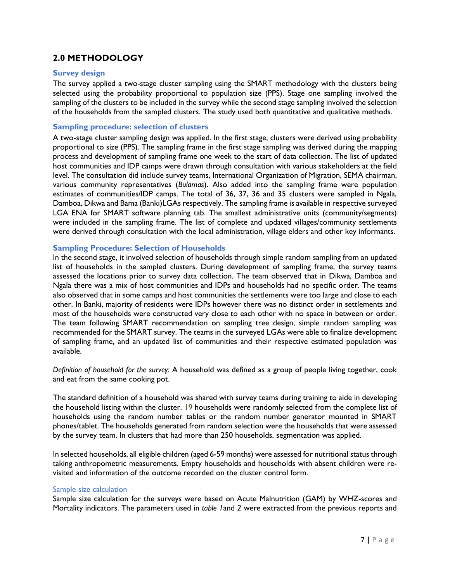## <span id="page-7-0"></span>**2.0 METHODOLOGY**

### <span id="page-7-1"></span>**Survey design**

The survey applied a two-stage cluster sampling using the SMART methodology with the clusters being selected using the probability proportional to population size (PPS). Stage one sampling involved the sampling of the clusters to be included in the survey while the second stage sampling involved the selection of the households from the sampled clusters. The study used both quantitative and qualitative methods.

## <span id="page-7-2"></span>**Sampling procedure: selection of clusters**

A two-stage cluster sampling design was applied. In the first stage, clusters were derived using probability proportional to size (PPS). The sampling frame in the first stage sampling was derived during the mapping process and development of sampling frame one week to the start of data collection. The list of updated host communities and IDP camps were drawn through consultation with various stakeholders at the field level. The consultation did include survey teams, International Organization of Migration, SEMA chairman, various community representatives (*Bulamas*). Also added into the sampling frame were population estimates of communities/IDP camps. The total of 36, 37, 36 and 35 clusters were sampled in Ngala, Damboa, Dikwa and Bama (Banki)LGAs respectively. The sampling frame is available in respective surveyed LGA ENA for SMART software planning tab. The smallest administrative units (community/segments) were included in the sampling frame. The list of complete and updated villages/community settlements were derived through consultation with the local administration, village elders and other key informants.

#### <span id="page-7-3"></span>**Sampling Procedure: Selection of Households**

In the second stage, it involved selection of households through simple random sampling from an updated list of households in the sampled clusters. During development of sampling frame, the survey teams assessed the locations prior to survey data collection. The team observed that in Dikwa, Damboa and Ngala there was a mix of host communities and IDPs and households had no specific order. The teams also observed that in some camps and host communities the settlements were too large and close to each other. In Banki, majority of residents were IDPs however there was no distinct order in settlements and most of the households were constructed very close to each other with no space in between or order. The team following SMART recommendation on sampling tree design, simple random sampling was recommended for the SMART survey. The teams in the surveyed LGAs were able to finalize development of sampling frame, and an updated list of communities and their respective estimated population was available.

*Definition of household for the survey:* A household was defined as a group of people living together, cook and eat from the same cooking pot.

The standard definition of a household was shared with survey teams during training to aide in developing the household listing within the cluster. 19 households were randomly selected from the complete list of households using the random number tables or the random number generator mounted in SMART phones/tablet. The households generated from random selection were the households that were assessed by the survey team. In clusters that had more than 250 households, segmentation was applied.

In selected households, all eligible children (aged 6-59 months) were assessed for nutritional status through taking anthropometric measurements. Empty households and households with absent children were revisited and information of the outcome recorded on the cluster control form.

#### <span id="page-7-4"></span>Sample size calculation

Sample size calculation for the surveys were based on Acute Malnutrition (GAM) by WHZ-scores and Mortality indicators. The parameters used in *table 1*and *2* were extracted from the previous reports and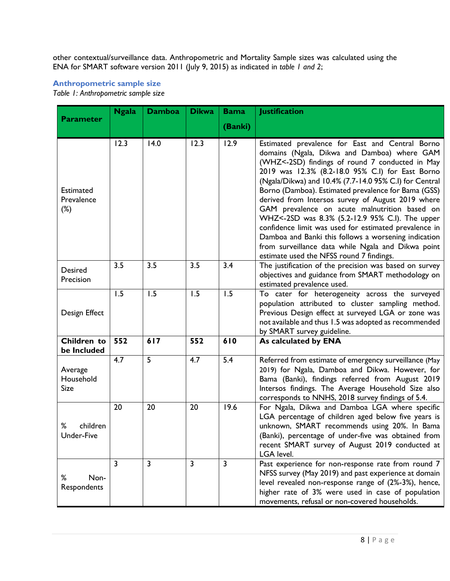other contextual/surveillance data. Anthropometric and Mortality Sample sizes was calculated using the ENA for SMART software version 2011 (July 9, 2015) as indicated in *table 1 and 2*;

### **Anthropometric sample size**

*Table 1: Anthropometric sample size* 

| <b>Parameter</b>                  | <b>Ngala</b> | <b>Damboa</b> | <b>Dikwa</b> | <b>Bama</b>    | <b>Justification</b>                                                                                                                                                                                                                                                                                                                                                                                                                                                                                                                                                                                                                                                                               |
|-----------------------------------|--------------|---------------|--------------|----------------|----------------------------------------------------------------------------------------------------------------------------------------------------------------------------------------------------------------------------------------------------------------------------------------------------------------------------------------------------------------------------------------------------------------------------------------------------------------------------------------------------------------------------------------------------------------------------------------------------------------------------------------------------------------------------------------------------|
|                                   |              |               |              | (Banki)        |                                                                                                                                                                                                                                                                                                                                                                                                                                                                                                                                                                                                                                                                                                    |
| Estimated<br>Prevalence<br>$(\%)$ | 12.3         | 14.0          | 12.3         | 12.9           | Estimated prevalence for East and Central Borno<br>domains (Ngala, Dikwa and Damboa) where GAM<br>(WHZ<-2SD) findings of round 7 conducted in May<br>2019 was 12.3% (8.2-18.0 95% C.I) for East Borno<br>(Ngala/Dikwa) and 10.4% (7.7-14.0 95% C.I) for Central<br>Borno (Damboa). Estimated prevalence for Bama (GSS)<br>derived from Intersos survey of August 2019 where<br>GAM prevalence on acute malnutrition based on<br>WHZ<-2SD was 8.3% (5.2-12.9 95% C.I). The upper<br>confidence limit was used for estimated prevalence in<br>Damboa and Banki this follows a worsening indication<br>from surveillance data while Ngala and Dikwa point<br>estimate used the NFSS round 7 findings. |
| <b>Desired</b><br>Precision       | 3.5          | 3.5           | 3.5          | 3.4            | The justification of the precision was based on survey<br>objectives and guidance from SMART methodology on<br>estimated prevalence used.                                                                                                                                                                                                                                                                                                                                                                                                                                                                                                                                                          |
| Design Effect                     | 1.5          | 1.5           | 1.5          | 1.5            | To cater for heterogeneity across the surveyed<br>population attributed to cluster sampling method.<br>Previous Design effect at surveyed LGA or zone was<br>not available and thus 1.5 was adopted as recommended<br>by SMART survey guideline.                                                                                                                                                                                                                                                                                                                                                                                                                                                   |
| Children to<br>be Included        | 552          | 617           | 552          | 610            | As calculated by ENA                                                                                                                                                                                                                                                                                                                                                                                                                                                                                                                                                                                                                                                                               |
| Average<br>Household<br>Size      | 4.7          | 5             | 4.7          | 5.4            | Referred from estimate of emergency surveillance (May<br>2019) for Ngala, Damboa and Dikwa. However, for<br>Bama (Banki), findings referred from August 2019<br>Intersos findings. The Average Household Size also<br>corresponds to NNHS, 2018 survey findings of 5.4.                                                                                                                                                                                                                                                                                                                                                                                                                            |
| %<br>children<br>Under-Five       | 20           | 20            | 20           | 19.6           | For Ngala, Dikwa and Damboa LGA where specific<br>LGA percentage of children aged below five years is<br>unknown, SMART recommends using 20%. In Bama<br>(Banki), percentage of under-five was obtained from<br>recent SMART survey of August 2019 conducted at<br>LGA level.                                                                                                                                                                                                                                                                                                                                                                                                                      |
| %<br>Non-<br>Respondents          | 3            | $\mathbf{3}$  | 3            | $\overline{3}$ | Past experience for non-response rate from round 7<br>NFSS survey (May 2019) and past experience at domain<br>level revealed non-response range of (2%-3%), hence,<br>higher rate of 3% were used in case of population<br>movements, refusal or non-covered households.                                                                                                                                                                                                                                                                                                                                                                                                                           |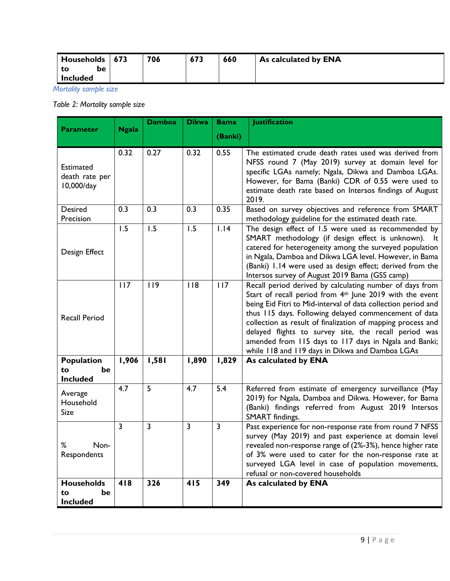| Households   673 | 706 | 673 | 660 | As calculated by ENA |
|------------------|-----|-----|-----|----------------------|
| to<br>Dе         |     |     |     |                      |
| <b>Included</b>  |     |     |     |                      |

*Mortality sample size*

*Table 2: Mortality sample size*

|                                                  |              | <b>Damboa</b>  | <b>Dikwa</b>   | <b>Bama</b>  | <b>Justification</b>                                                                                                                                                                                                                                                                                                                                                                                                                                                                           |  |
|--------------------------------------------------|--------------|----------------|----------------|--------------|------------------------------------------------------------------------------------------------------------------------------------------------------------------------------------------------------------------------------------------------------------------------------------------------------------------------------------------------------------------------------------------------------------------------------------------------------------------------------------------------|--|
| <b>Parameter</b>                                 | <b>Ngala</b> |                |                | (Banki)      |                                                                                                                                                                                                                                                                                                                                                                                                                                                                                                |  |
| Estimated<br>death rate per<br>10,000/day        | 0.32         | 0.27           | 0.32           | 0.55         | The estimated crude death rates used was derived from<br>NFSS round 7 (May 2019) survey at domain level for<br>specific LGAs namely; Ngala, Dikwa and Damboa LGAs.<br>However, for Bama (Banki) CDR of 0.55 were used to<br>estimate death rate based on Intersos findings of August<br>2019.                                                                                                                                                                                                  |  |
| Desired<br>Precision                             | 0.3          | 0.3            | 0.3            | 0.35         | Based on survey objectives and reference from SMART<br>methodology guideline for the estimated death rate.                                                                                                                                                                                                                                                                                                                                                                                     |  |
| Design Effect                                    | 1.5          | 1.5            | 1.5            | 1.14         | The design effect of 1.5 were used as recommended by<br>SMART methodology (if design effect is unknown). It<br>catered for heterogeneity among the surveyed population<br>in Ngala, Damboa and Dikwa LGA level. However, in Bama<br>(Banki) 1.14 were used as design effect; derived from the<br>Intersos survey of August 2019 Bama (GSS camp)                                                                                                                                                |  |
| <b>Recall Period</b>                             | 117          | 119            | 118            | 117          | Recall period derived by calculating number of days from<br>Start of recall period from 4 <sup>th</sup> June 2019 with the event<br>being Eid Fitri to Mid-interval of data collection period and<br>thus 115 days. Following delayed commencement of data<br>collection as result of finalization of mapping process and<br>delayed flights to survey site, the recall period was<br>amended from 115 days to 117 days in Ngala and Banki;<br>while 118 and 119 days in Dikwa and Damboa LGAs |  |
| Population<br>to<br>be<br><b>Included</b>        | 1,906        | 1,581          | 1,890          | 1,829        | As calculated by ENA                                                                                                                                                                                                                                                                                                                                                                                                                                                                           |  |
| Average<br>Household<br>Size                     | 4.7          | 5              | 4.7            | 5.4          | Referred from estimate of emergency surveillance (May<br>2019) for Ngala, Damboa and Dikwa. However, for Bama<br>(Banki) findings referred from August 2019 Intersos<br>SMART findings.                                                                                                                                                                                                                                                                                                        |  |
| $\%$<br>Non-<br>Respondents                      | 3            | $\overline{3}$ | $\overline{3}$ | $\mathbf{3}$ | Past experience for non-response rate from round 7 NFSS<br>survey (May 2019) and past experience at domain level<br>revealed non-response range of (2%-3%), hence higher rate<br>of 3% were used to cater for the non-response rate at<br>surveyed LGA level in case of population movements,<br>refusal or non-covered households                                                                                                                                                             |  |
| <b>Households</b><br>be<br>to<br><b>Included</b> | 418          | 326            | 415            | 349          | As calculated by ENA                                                                                                                                                                                                                                                                                                                                                                                                                                                                           |  |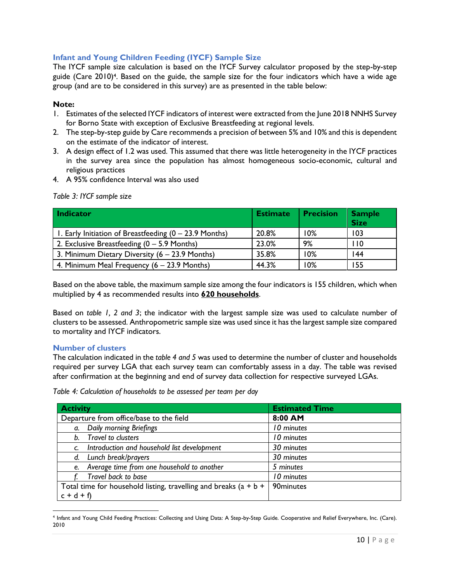## **Infant and Young Children Feeding (IYCF) Sample Size**

The IYCF sample size calculation is based on the IYCF Survey calculator proposed by the step-by-step guide (Care 2010)<sup>4</sup>. Based on the guide, the sample size for the four indicators which have a wide age group (and are to be considered in this survey) are as presented in the table below:

### **Note:**

- 1. Estimates of the selected IYCF indicators of interest were extracted from the June 2018 NNHS Survey for Borno State with exception of Exclusive Breastfeeding at regional levels.
- 2. The step-by-step guide by Care recommends a precision of between 5% and 10% and this is dependent on the estimate of the indicator of interest.
- 3. A design effect of 1.2 was used. This assumed that there was little heterogeneity in the IYCF practices in the survey area since the population has almost homogeneous socio-economic, cultural and religious practices
- 4. A 95% confidence Interval was also used

#### *Table 3: IYCF sample size*

| Indicator                                                | <b>Estimate</b> | <b>Precision</b> | <b>Sample</b><br><b>Size</b> |
|----------------------------------------------------------|-----------------|------------------|------------------------------|
| 1. Early Initiation of Breastfeeding $(0 - 23.9$ Months) | 20.8%           | 10%              | 103                          |
| 2. Exclusive Breastfeeding $(0 - 5.9$ Months)            | 23.0%           | 9%               | 110                          |
| 3. Minimum Dietary Diversity (6 – 23.9 Months)           | 35.8%           | 10%              | 44                           |
| 4. Minimum Meal Frequency (6 – 23.9 Months)              | 44.3%           | 10%              | 155                          |

Based on the above table, the maximum sample size among the four indicators is 155 children, which when multiplied by 4 as recommended results into **620 households**.

Based on *table 1, 2 and 3*; the indicator with the largest sample size was used to calculate number of clusters to be assessed. Anthropometric sample size was used since it has the largest sample size compared to mortality and IYCF indicators.

#### <span id="page-10-0"></span>**Number of clusters**

The calculation indicated in the *table 4 and 5* was used to determine the number of cluster and households required per survey LGA that each survey team can comfortably assess in a day. The table was revised after confirmation at the beginning and end of survey data collection for respective surveyed LGAs.

*Table 4: Calculation of households to be assessed per team per day*

| <b>Activity</b>                                                     | <b>Estimated Time</b> |
|---------------------------------------------------------------------|-----------------------|
| Departure from office/base to the field                             | 8:00 AM               |
| a. Daily morning Briefings                                          | 10 minutes            |
| Travel to clusters<br>b.                                            | 10 minutes            |
| Introduction and household list development<br>$\mathsf{C}$         | 30 minutes            |
| Lunch break/prayers<br>d.                                           | 30 minutes            |
| Average time from one household to another<br>e.                    | 5 minutes             |
| Travel back to base                                                 | 10 minutes            |
| Total time for household listing, travelling and breaks ( $a + b +$ | 90minutes             |
| $c + d + f$                                                         |                       |

 $\overline{a}$ 4 Infant and Young Child Feeding Practices: Collecting and Using Data: A Step-by-Step Guide. Cooperative and Relief Everywhere, Inc. (Care). 2010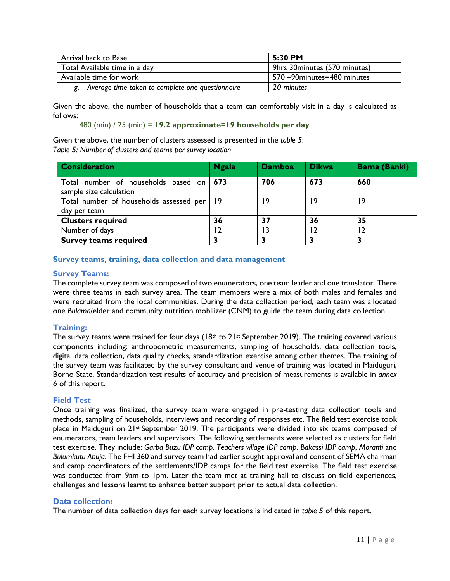| Arrival back to Base                             | $5:30$ PM                     |
|--------------------------------------------------|-------------------------------|
| Total Available time in a day                    | 9hrs 30 minutes (570 minutes) |
| Available time for work                          | 570 -90minutes=480 minutes    |
| Average time taken to complete one questionnaire | 20 minutes                    |

Given the above, the number of households that a team can comfortably visit in a day is calculated as follows:

480 (min) / 25 (min) = **19.2 approximate=19 households per day**

Given the above, the number of clusters assessed is presented in the *table 5*: *Table 5: Number of clusters and teams per survey location*

| <b>Consideration</b>                                               | <b>Ngala</b>   | <b>Damboa</b> | <b>Dikwa</b> | <b>Bama (Banki)</b> |
|--------------------------------------------------------------------|----------------|---------------|--------------|---------------------|
| Total number of households based on 673<br>sample size calculation |                | 706           | 673          | 660                 |
| Total number of households assessed per<br>day per team            | $ 9 \rangle$   | 19            | 19           | 19                  |
| <b>Clusters required</b>                                           | 36             | 37            | 36           | 35                  |
| Number of days                                                     | $\overline{2}$ | ۱3            | 12           | 12                  |
| <b>Survey teams required</b>                                       |                |               |              |                     |

## <span id="page-11-0"></span>**Survey teams, training, data collection and data management**

#### <span id="page-11-1"></span>**Survey Teams:**

The complete survey team was composed of two enumerators, one team leader and one translator. There were three teams in each survey area. The team members were a mix of both males and females and were recruited from the local communities. During the data collection period, each team was allocated one *Bulama*/elder and community nutrition mobilizer (CNM) to guide the team during data collection.

#### <span id="page-11-2"></span>**Training:**

The survey teams were trained for four days ( $18<sup>th</sup>$  to  $21<sup>st</sup>$  September 2019). The training covered various components including: anthropometric measurements, sampling of households, data collection tools, digital data collection, data quality checks, standardization exercise among other themes. The training of the survey team was facilitated by the survey consultant and venue of training was located in Maiduguri, Borno State. Standardization test results of accuracy and precision of measurements is available in *annex 6* of this report.

#### <span id="page-11-3"></span>**Field Test**

Once training was finalized, the survey team were engaged in pre-testing data collection tools and methods, sampling of households, interviews and recording of responses etc. The field test exercise took place in Maiduguri on 21st September 2019. The participants were divided into six teams composed of enumerators, team leaders and supervisors. The following settlements were selected as clusters for field test exercise. They include; *Garba Buzu IDP camp*, *Teachers village IDP camp*, *Bakassi IDP camp*, *Moranti* and *Bulumkutu Abuja*. The FHI 360 and survey team had earlier sought approval and consent of SEMA chairman and camp coordinators of the settlements/IDP camps for the field test exercise. The field test exercise was conducted from 9am to 1pm. Later the team met at training hall to discuss on field experiences, challenges and lessons learnt to enhance better support prior to actual data collection.

#### <span id="page-11-4"></span>**Data collection:**

The number of data collection days for each survey locations is indicated in *table 5* of this report.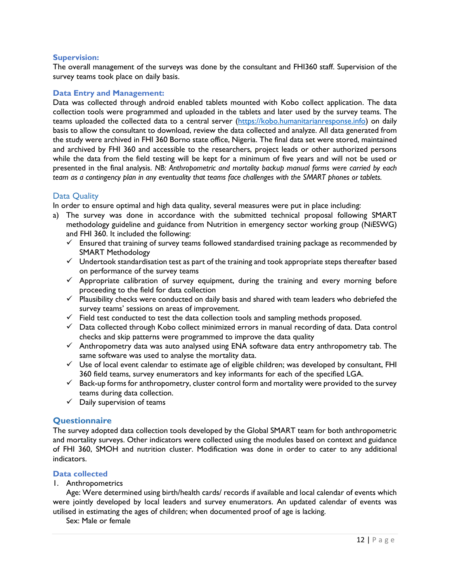#### <span id="page-12-0"></span>**Supervision:**

The overall management of the surveys was done by the consultant and FHI360 staff. Supervision of the survey teams took place on daily basis.

#### <span id="page-12-1"></span>**Data Entry and Management:**

Data was collected through android enabled tablets mounted with Kobo collect application. The data collection tools were programmed and uploaded in the tablets and later used by the survey teams. The teams uploaded the collected data to a central server [\(https://kobo.humanitarianresponse.info\)](https://kobo.humanitarianresponse.info/) on daily basis to allow the consultant to download, review the data collected and analyze. All data generated from the study were archived in FHI 360 Borno state office, Nigeria. The final data set were stored, maintained and archived by FHI 360 and accessible to the researchers, project leads or other authorized persons while the data from the field testing will be kept for a minimum of five years and will not be used or presented in the final analysis. *NB: Anthropometric and mortality backup manual forms were carried by each team as a contingency plan in any eventuality that teams face challenges with the SMART phones or tablets.*

## <span id="page-12-2"></span>Data Quality

In order to ensure optimal and high data quality, several measures were put in place including:

- a) The survey was done in accordance with the submitted technical proposal following SMART methodology guideline and guidance from Nutrition in emergency sector working group (NiESWG) and FHI 360. It included the following:
	- $\checkmark$  Ensured that training of survey teams followed standardised training package as recommended by SMART Methodology
	- $\checkmark$  Undertook standardisation test as part of the training and took appropriate steps thereafter based on performance of the survey teams
	- ✓ Appropriate calibration of survey equipment, during the training and every morning before proceeding to the field for data collection
	- $\checkmark$  Plausibility checks were conducted on daily basis and shared with team leaders who debriefed the survey teams' sessions on areas of improvement.
	- $\checkmark$  Field test conducted to test the data collection tools and sampling methods proposed.
	- $\checkmark$  Data collected through Kobo collect minimized errors in manual recording of data. Data control checks and skip patterns were programmed to improve the data quality
	- ✓ Anthropometry data was auto analysed using ENA software data entry anthropometry tab. The same software was used to analyse the mortality data.
	- $\checkmark$  Use of local event calendar to estimate age of eligible children; was developed by consultant, FHI 360 field teams, survey enumerators and key informants for each of the specified LGA.
	- $\checkmark$  Back-up forms for anthropometry, cluster control form and mortality were provided to the survey teams during data collection.
	- $\checkmark$  Daily supervision of teams

#### <span id="page-12-3"></span>**Questionnaire**

The survey adopted data collection tools developed by the Global SMART team for both anthropometric and mortality surveys. Other indicators were collected using the modules based on context and guidance of FHI 360, SMOH and nutrition cluster. Modification was done in order to cater to any additional indicators.

#### <span id="page-12-4"></span>**Data collected**

#### 1. Anthropometrics

Age: Were determined using birth/health cards/ records if available and local calendar of events which were jointly developed by local leaders and survey enumerators. An updated calendar of events was utilised in estimating the ages of children; when documented proof of age is lacking.

Sex: Male or female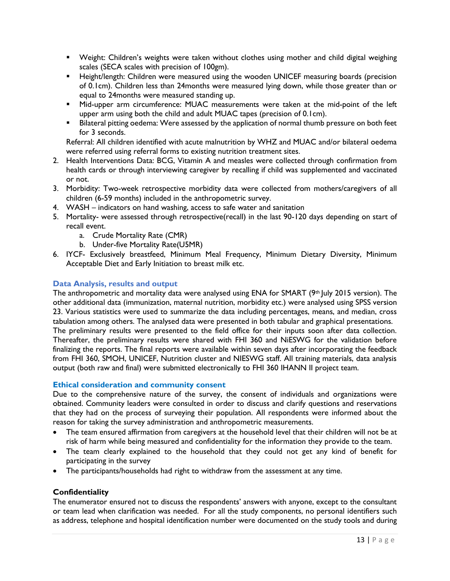- Weight: Children's weights were taken without clothes using mother and child digital weighing scales (SECA scales with precision of 100gm).
- **E** Height/length: Children were measured using the wooden UNICEF measuring boards (precision of 0.1cm). Children less than 24months were measured lying down, while those greater than or equal to 24months were measured standing up.
- Mid-upper arm circumference: MUAC measurements were taken at the mid-point of the left upper arm using both the child and adult MUAC tapes (precision of 0.1cm).
- Bilateral pitting oedema: Were assessed by the application of normal thumb pressure on both feet for 3 seconds.

Referral: All children identified with acute malnutrition by WHZ and MUAC and/or bilateral oedema were referred using referral forms to existing nutrition treatment sites.

- 2. Health Interventions Data: BCG, Vitamin A and measles were collected through confirmation from health cards or through interviewing caregiver by recalling if child was supplemented and vaccinated or not.
- 3. Morbidity: Two-week retrospective morbidity data were collected from mothers/caregivers of all children (6-59 months) included in the anthropometric survey.
- 4. WASH indicators on hand washing, access to safe water and sanitation
- 5. Mortality- were assessed through retrospective(recall) in the last 90-120 days depending on start of recall event.
	- a. Crude Mortality Rate (CMR)
	- b. Under-five Mortality Rate(U5MR)
- 6. IYCF- Exclusively breastfeed, Minimum Meal Frequency, Minimum Dietary Diversity, Minimum Acceptable Diet and Early Initiation to breast milk etc.

## <span id="page-13-0"></span>**Data Analysis, results and output**

The anthropometric and mortality data were analysed using ENA for SMART (9th July 2015 version). The other additional data (immunization, maternal nutrition, morbidity etc.) were analysed using SPSS version 23. Various statistics were used to summarize the data including percentages, means, and median, cross tabulation among others. The analysed data were presented in both tabular and graphical presentations. The preliminary results were presented to the field office for their inputs soon after data collection. Thereafter, the preliminary results were shared with FHI 360 and NiESWG for the validation before

finalizing the reports. The final reports were available within seven days after incorporating the feedback from FHI 360, SMOH, UNICEF, Nutrition cluster and NIESWG staff. All training materials, data analysis output (both raw and final) were submitted electronically to FHI 360 IHANN II project team.

## **Ethical consideration and community consent**

Due to the comprehensive nature of the survey, the consent of individuals and organizations were obtained. Community leaders were consulted in order to discuss and clarify questions and reservations that they had on the process of surveying their population. All respondents were informed about the reason for taking the survey administration and anthropometric measurements.

- The team ensured affirmation from caregivers at the household level that their children will not be at risk of harm while being measured and confidentiality for the information they provide to the team.
- The team clearly explained to the household that they could not get any kind of benefit for participating in the survey
- The participants/households had right to withdraw from the assessment at any time.

## **Confidentiality**

The enumerator ensured not to discuss the respondents' answers with anyone, except to the consultant or team lead when clarification was needed. For all the study components, no personal identifiers such as address, telephone and hospital identification number were documented on the study tools and during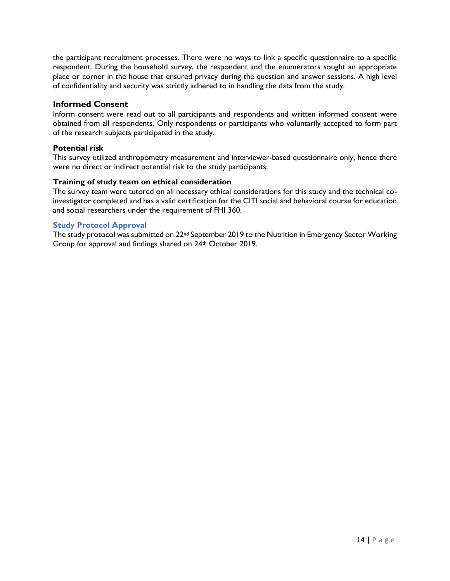the participant recruitment processes. There were no ways to link a specific questionnaire to a specific respondent. During the household survey, the respondent and the enumerators sought an appropriate place or corner in the house that ensured privacy during the question and answer sessions. A high level of confidentiality and security was strictly adhered to in handling the data from the study.

## **Informed Consent**

Inform consent were read out to all participants and respondents and written informed consent were obtained from all respondents. Only respondents or participants who voluntarily accepted to form part of the research subjects participated in the study.

## **Potential risk**

This survey utilized anthropometry measurement and interviewer-based questionnaire only, hence there were no direct or indirect potential risk to the study participants.

## **Training of study team on ethical consideration**

The survey team were tutored on all necessary ethical considerations for this study and the technical coinvestigator completed and has a valid certification for the CITI social and behavioral course for education and social researchers under the requirement of FHI 360.

## <span id="page-14-0"></span>**Study Protocol Approval**

The study protocol was submitted on 22<sup>nd</sup> September 2019 to the Nutrition in Emergency Sector Working Group for approval and findings shared on 24th October 2019.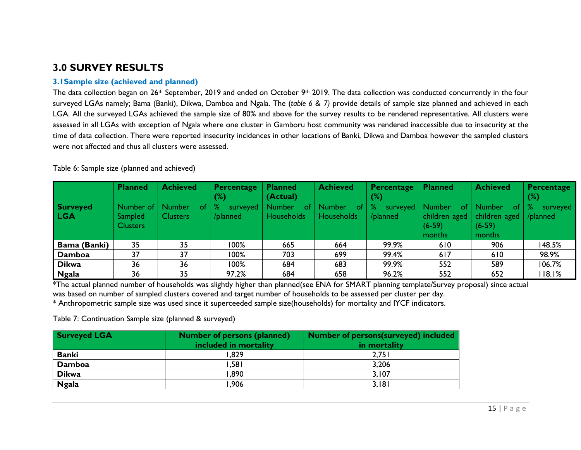## **3.0 SURVEY RESULTS**

## **3.1Sample size (achieved and planned)**

The data collection began on 26<sup>th</sup> September, 2019 and ended on October 9<sup>th</sup> 2019. The data collection was conducted concurrently in the four surveyed LGAs namely; Bama (Banki), Dikwa, Damboa and Ngala. The (*table 6 & 7)* provide details of sample size planned and achieved in each LGA. All the surveyed LGAs achieved the sample size of 80% and above for the survey results to be rendered representative. All clusters were assessed in all LGAs with exception of Ngala where one cluster in Gamboru host community was rendered inaccessible due to insecurity at the time of data collection. There were reported insecurity incidences in other locations of Banki, Dikwa and Damboa however the sampled clusters were not affected and thus all clusters were assessed.

<span id="page-15-1"></span><span id="page-15-0"></span>

|              | <b>Planned</b>     | <b>Achieved</b> | <b>Percentage</b><br>(%)   | <b>Planned</b><br>(Actual)   | <b>Achieved</b>                       | Percentage<br>$(\%)$                        | <b>Planned</b> | <b>Achieved</b>                          | Percentage<br>(%) |
|--------------|--------------------|-----------------|----------------------------|------------------------------|---------------------------------------|---------------------------------------------|----------------|------------------------------------------|-------------------|
|              |                    |                 |                            |                              |                                       |                                             |                |                                          |                   |
| Surveyed     | Number of   Number | -of-            | $\mathbb{T}$ %<br>surveyed | <b>Number</b><br><b>A</b> of | <b>Number</b><br><b>A</b> ot <b>I</b> | surveyed   Number<br>$\mathcal{C}_{\alpha}$ | of I           | <b>Number</b><br>of $\mid \% \mid$       | surveyed          |
| LGA          | <b>Sampled</b>     | <b>Clusters</b> | /planned                   | Households                   | Households                            | /planned                                    |                | children aged   children aged   /planned |                   |
|              | <b>Clusters</b>    |                 |                            |                              |                                       |                                             | $(6-59)$       | $(6-59)$                                 |                   |
|              |                    |                 |                            |                              |                                       |                                             | months         | months                                   |                   |
| Bama (Banki) | 35                 | 35              | 100%                       | 665                          | 664                                   | 99.9%                                       | 610            | 906                                      | 148.5%            |
| Damboa       | 37                 | 37              | 100%                       | 703                          | 699                                   | 99.4%                                       | 617            | 610                                      | 98.9%             |
| <b>Dikwa</b> | 36                 | 36              | 100%                       | 684                          | 683                                   | 99.9%                                       | 552            | 589                                      | 106.7%            |
| <b>Ngala</b> | 36                 | 35              | 97.2%                      | 684                          | 658                                   | 96.2%                                       | 552            | 652                                      | 118.1%            |

### Table 6: Sample size (planned and achieved)

\*The actual planned number of households was slightly higher than planned(see ENA for SMART planning template/Survey proposal) since actual was based on number of sampled clusters covered and target number of households to be assessed per cluster per day. \* Anthropometric sample size was used since it superceeded sample size(households) for mortality and IYCF indicators.

Table 7: Continuation Sample size (planned & surveyed)

| <b>Surveyed LGA</b> | <b>Number of persons (planned)</b><br>included in mortality | <b>Number of persons (surveyed) included</b><br>in mortality |
|---------------------|-------------------------------------------------------------|--------------------------------------------------------------|
| <b>Banki</b>        | 829. ا                                                      | 2.751                                                        |
| Damboa              | 1,581                                                       | 3,206                                                        |
| <b>Dikwa</b>        | 1,890                                                       | 3,107                                                        |
| <b>Ngala</b>        | .906                                                        | 3,181                                                        |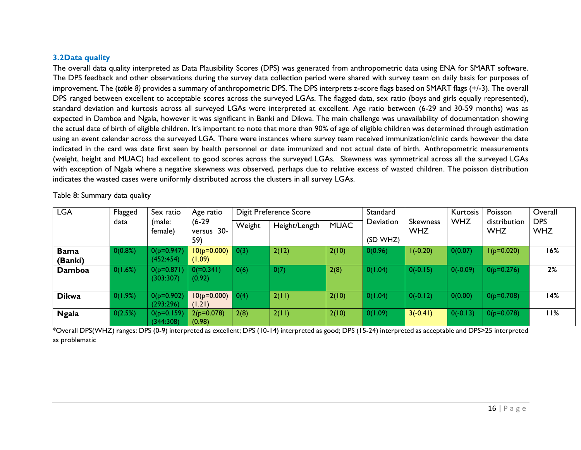## **3.2Data quality**

The overall data quality interpreted as Data Plausibility Scores (DPS) was generated from anthropometric data using ENA for SMART software. The DPS feedback and other observations during the survey data collection period were shared with survey team on daily basis for purposes of improvement. The (*table 8)* provides a summary of anthropometric DPS. The DPS interprets z-score flags based on SMART flags (+/-3). The overall DPS ranged between excellent to acceptable scores across the surveyed LGAs. The flagged data, sex ratio (boys and girls equally represented), standard deviation and kurtosis across all surveyed LGAs were interpreted at excellent. Age ratio between (6-29 and 30-59 months) was as expected in Damboa and Ngala, however it was significant in Banki and Dikwa. The main challenge was unavailability of documentation showing the actual date of birth of eligible children. It's important to note that more than 90% of age of eligible children was determined through estimation using an event calendar across the surveyed LGA. There were instances where survey team received immunization/clinic cards however the date indicated in the card was date first seen by health personnel or date immunized and not actual date of birth. Anthropometric measurements (weight, height and MUAC) had excellent to good scores across the surveyed LGAs. Skewness was symmetrical across all the surveyed LGAs with exception of Ngala where a negative skewness was observed, perhaps due to relative excess of wasted children. The poisson distribution indicates the wasted cases were uniformly distributed across the clusters in all survey LGAs.

| LGA           | Flagged | Sex ratio<br>(male:<br>female) | Age ratio                    |        | Digit Preference Score |             |           | Standard                      | Kurtosis   | Poisson                    | Overall                  |
|---------------|---------|--------------------------------|------------------------------|--------|------------------------|-------------|-----------|-------------------------------|------------|----------------------------|--------------------------|
|               | data    |                                | $(6-29)$<br>$30 -$<br>versus | Weight | Height/Length          | <b>MUAC</b> | Deviation | <b>Skewness</b><br><b>WHZ</b> | <b>WHZ</b> | distribution<br><b>WHZ</b> | <b>DPS</b><br><b>WHZ</b> |
|               |         |                                | 59)                          |        |                        |             | (SD WHZ)  |                               |            |                            |                          |
| <b>Bama</b>   | 0(0.8%) | $0(p=0.947)$                   | $10(p=0.000)$                | 0(3)   | 2(12)                  | 2(10)       | 0(0.96)   | $1(-0.20)$                    | 0(0.07)    | $I(p=0.020)$               | 16%                      |
| (Banki)       |         | (452:454)                      | (1.09)                       |        |                        |             |           |                               |            |                            |                          |
| <b>Damboa</b> | 0(1.6%) | $0(p=0.871)$<br>(303:307)      | $0 (= 0.341)$<br>(0.92)      | 0(6)   | 0(7)                   | 2(8)        | 0(1.04)   | $0(-0.15)$                    | $0(-0.09)$ | $0(p=0.276)$               | 2%                       |
| <b>Dikwa</b>  | 0(1.9%) | $0(p=0.902)$<br>(293:296)      | $10(p=0.000)$<br>(1.21)      | 0(4)   | 2(11)                  | 2(10)       | 0(1.04)   | $0(-0.12)$                    | 0(0.00)    | $0(p=0.708)$               | 14%                      |
| <b>Ngala</b>  | 0(2.5%) | $0(p=0.159)$<br>(344:308)      | $2(p=0.078)$<br>(0.98)       | 2(8)   | 2(11)                  | 2(10)       | 0(1.09)   | $3(-0.41)$                    | $0(-0.13)$ | $0(p=0.078)$               | 11%                      |

<span id="page-16-0"></span>Table 8: Summary data quality

\*Overall DPS(WHZ) ranges: DPS (0-9) interpreted as excellent; DPS (10-14) interpreted as good; DPS (15-24) interpreted as acceptable and DPS>25 interpreted as problematic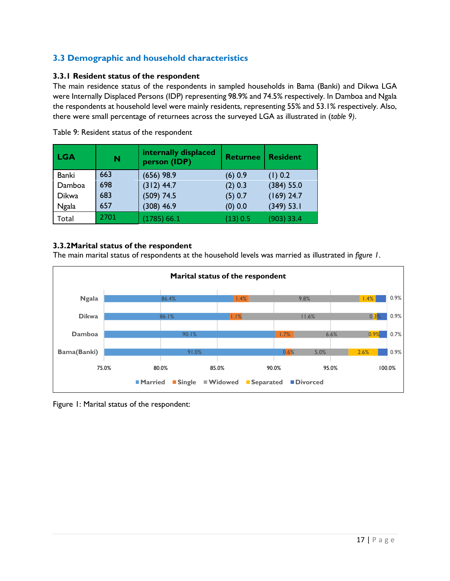## <span id="page-17-0"></span>**3.3 Demographic and household characteristics**

## <span id="page-17-1"></span>**3.3.1 Resident status of the respondent**

The main residence status of the respondents in sampled households in Bama (Banki) and Dikwa LGA were Internally Displaced Persons (IDP) representing 98.9% and 74.5% respectively. In Damboa and Ngala the respondents at household level were mainly residents, representing 55% and 53.1% respectively. Also, there were small percentage of returnees across the surveyed LGA as illustrated in (*table 9)*.

| <b>LGA</b>   | N    | internally displaced<br>person (IDP) | <b>Returnee</b> | <b>Resident</b> |
|--------------|------|--------------------------------------|-----------------|-----------------|
| <b>Banki</b> | 663  | $(656)$ 98.9                         | (6) 0.9         | (1) 0.2         |
| Damboa       | 698  | $(312)$ 44.7                         | $(2)$ 0.3       | (384) 55.0      |
| <b>Dikwa</b> | 683  | (509) 74.5                           | (5) 0.7         | $(169)$ 24.7    |
| <b>Ngala</b> | 657  | $(308)$ 46.9                         | $(0)$ 0.0       | (349) 53.1      |
| Total        | 2701 | (1785) 66.1                          | (13) 0.5        | (903) 33.4      |

<span id="page-17-2"></span>Table 9: Resident status of the respondent

## <span id="page-17-3"></span>**3.3.2Marital status of the respondent**

The main marital status of respondents at the household levels was married as illustrated in *figure 1*.



<span id="page-17-4"></span>Figure 1: Marital status of the respondent: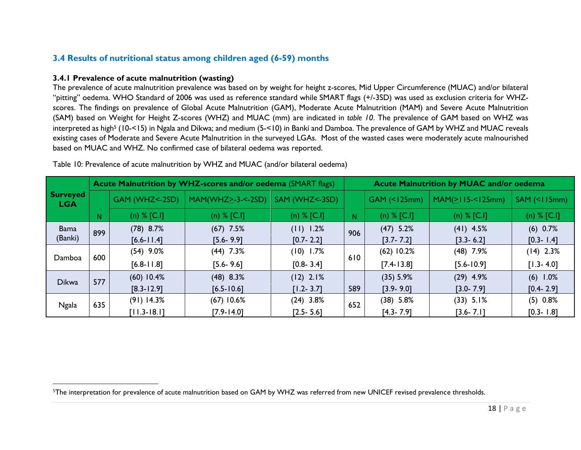## **3.4 Results of nutritional status among children aged (6-59) months**

## **3.4.1 Prevalence of acute malnutrition (wasting)**

 $\overline{\phantom{a}}$ 

The prevalence of acute malnutrition prevalence was based on by weight for height z-scores, Mid Upper Circumference (MUAC) and/or bilateral "pitting" oedema. WHO Standard of 2006 was used as reference standard while SMART flags (+/-3SD) was used as exclusion criteria for WHZscores. The findings on prevalence of Global Acute Malnutrition (GAM), Moderate Acute Malnutrition (MAM) and Severe Acute Malnutrition (SAM) based on Weight for Height Z-scores (WHZ) and MUAC (mm) are indicated in *table 10*. The prevalence of GAM based on WHZ was interpreted as high<sup>5</sup> (10-<15) in Ngala and Dikwa; and medium (5-<10) in Banki and Damboa. The prevalence of GAM by WHZ and MUAC reveals existing cases of Moderate and Severe Acute Malnutrition in the surveyed LGAs. Most of the wasted cases were moderately acute malnourished based on MUAC and WHZ. No confirmed case of bilateral oedema was reported.

<span id="page-18-1"></span><span id="page-18-0"></span>

|                        |     |                  | Acute Malnutrition by WHZ-scores and/or oedema (SMART flags) |               |             |                |                       | <b>Acute Malnutrition by MUAC and/or oedema</b> |  |
|------------------------|-----|------------------|--------------------------------------------------------------|---------------|-------------|----------------|-----------------------|-------------------------------------------------|--|
| Surveyed<br><b>LGA</b> |     | GAM (WHZ <- 2SD) | $MAM(WHZ_2-3<-2SD)$ SAM (WHZ<-3SD)                           |               |             | $GAM$ (<125mm) | $MAM(\geq 115<125mm)$ | $SAM$ (<115mm)                                  |  |
|                        | N.  | (n) $%$ [C.I]    | (n) $%$ [C.I]                                                | (n) $%$ [C.I] | N           | $(n)$ % [C.I]  | (n) $%$ [C.I]         | $(n)$ % $[C.1]$                                 |  |
| <b>Bama</b>            | 899 | $(78)$ 8.7%      | (11) 1.2%<br>$(67)$ 7.5%<br>906                              |               | $(47)$ 5.2% | $(41)$ 4.5%    | $(6)$ 0.7%            |                                                 |  |
| (Banki)                |     | $[6.6 - 11.4]$   | $[5.6 - 9.9]$                                                | $[0.7 - 2.2]$ |             | $[3.7 - 7.2]$  | $[3.3 - 6.2]$         | $[0.3 - 1.4]$                                   |  |
| Damboa                 |     | $(54)$ 9.0%      | $(44)$ 7.3%                                                  | $(10)$ 1.7%   | 610         | $(62)$ 10.2%   | $(48)$ 7.9%           | $(14)$ 2.3%                                     |  |
|                        | 600 | $[6.8 - 11.8]$   | $[5.6 - 9.6]$                                                | $[0.8 - 3.4]$ |             | $[7.4 - 13.8]$ | $[5.6 - 10.9]$        | $[1.3 - 4.0]$                                   |  |
| <b>Dikwa</b>           | 577 | $(60)$ 10.4%     | $(48)$ 8.3%                                                  | $(12)$ 2.1%   |             | $(35)$ 5.9%    | $(29)$ 4.9%           | $(6)$ 1.0%                                      |  |
|                        |     | $[8.3 - 12.9]$   | $[6.5 - 10.6]$                                               | $[1.2 - 3.7]$ | 589         | $[3.9 - 9.0]$  | $[3.0 - 7.9]$         | $[0.4 - 2.9]$                                   |  |
| <b>Ngala</b>           | 635 | $(91)$ 14.3%     | $(67)$ 10.6%                                                 | $(24)$ 3.8%   | 652         | $(38)$ 5.8%    | $(33)$ 5.1%           | $(5)$ 0.8%                                      |  |
|                        |     | $[11.3-18.1]$    | $[7.9 - 14.0]$                                               | $[2.5 - 5.6]$ |             | $[4.3 - 7.9]$  | $[3.6 - 7.1]$         | $[0.3 - 1.8]$                                   |  |

Table 10: Prevalence of acute malnutrition by WHZ and MUAC (and/or bilateral oedema)

<sup>&</sup>lt;sup>5</sup>The interpretation for prevalence of acute malnutrition based on GAM by WHZ was referred from new UNICEF revised prevalence thresholds.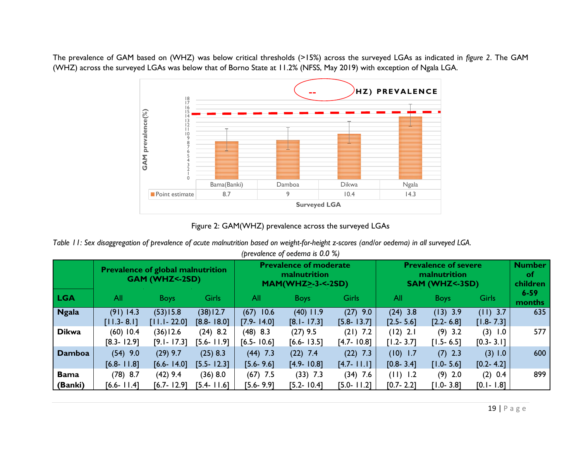The prevalence of GAM based on (WHZ) was below critical thresholds (>15%) across the surveyed LGAs as indicated in *figure 2*. The GAM (WHZ) across the surveyed LGAs was below that of Borno State at 11.2% (NFSS, May 2019) with exception of Ngala LGA.



Figure 2: GAM(WHZ) prevalence across the surveyed LGAs

*Table 11: Sex disaggregation of prevalence of acute malnutrition based on weight-for-height z-scores (and/or oedema) in all surveyed LGA.* 

<span id="page-19-0"></span>

|               | <b>Prevalence of global malnutrition</b><br>GAM (WHZ<-2SD) |                                |                              |                               | <b>Prevalence of moderate</b><br>malnutrition<br><b>MAM(WHZ&gt;-3-&lt;-2SD)</b> |                              | <b>Prevalence of severe</b><br>malnutrition<br>SAM (WHZ<-3SD) |                             |                             | <b>Number</b><br><b>of</b><br>children |
|---------------|------------------------------------------------------------|--------------------------------|------------------------------|-------------------------------|---------------------------------------------------------------------------------|------------------------------|---------------------------------------------------------------|-----------------------------|-----------------------------|----------------------------------------|
| LGA           | All                                                        | <b>Boys</b>                    | <b>Girls</b>                 | All                           | <b>Boys</b>                                                                     | <b>Girls</b>                 | All                                                           | <b>Boys</b>                 | <b>Girls</b>                | $6 - 59$<br>months                     |
| <b>Ngala</b>  | $(91)$ 14.3<br>$[11.3 - 8.1]$                              | $(53)$ 15.8<br>$[11.1 - 22.0]$ | (38)12.7<br>$[8.8 - 18.0]$   | $(67)$ 10.6<br>$[7.9 - 14.0]$ | $(40)$ 11.9<br>$[8.1 - 17.3]$                                                   | $(27)$ 9.0<br>$[5.8 - 13.7]$ | $(24)$ 3.8<br>$[2.5 - 5.6]$                                   | $(13)$ 3.9<br>$[2.2 - 6.8]$ | $(11)$ 3.7<br>$[1.8 - 7.3]$ | 635                                    |
| <b>Dikwa</b>  | $(60)$ 10.4<br>$[8.3 - 12.9]$                              | (36)12.6<br>$[9.1 - 17.3]$     | $(24)$ 8.2<br>$[5.6 - 11.9]$ | $(48)$ 8.3<br>$[6.5 - 10.6]$  | $(27)$ 9.5<br>$[6.6 - 13.5]$                                                    | $(21)$ 7.2<br>$[4.7 - 10.8]$ | $(12)$ 2.1<br>$[1.2 - 3.7]$                                   | $(9)$ 3.2<br>$[1.5 - 6.5]$  | $(3)$ 1.0<br>$[0.3 - 3.1]$  | 577                                    |
| <b>Damboa</b> | $(54)$ 9.0<br>$[6.8 - 11.8]$                               | $(29)$ 9.7<br>$[6.6 - 14.0]$   | $(25)$ 8.3<br>$[5.5 - 12.3]$ | $(44)$ 7.3<br>$[5.6 - 9.6]$   | $(22)$ 7.4<br>$[4.9 - 10.8]$                                                    | $(22)$ 7.3<br>$[4.7 - 11.1]$ | $(10)$ 1.7<br>$[0.8 - 3.4]$                                   | $(7)$ 2.3<br>$[1.0 - 5.6]$  | (3) 1.0<br>$[0.2 - 4.2]$    | 600                                    |
| <b>Bama</b>   | $(78)$ 8.7                                                 | $(42)$ 9.4                     | (36) 8.0                     | $(67)$ 7.5                    | $(33)$ 7.3                                                                      | $(34)$ 7.6                   | (11) 1.2                                                      | $(9)$ 2.0                   | (2) 0.4                     | 899                                    |
| (Banki)       | $[6.6 - 11.4]$                                             | [6.7-12.9]                     | [5.4- 11.6]                  | $[5.6 - 9.9]$                 | $[5.2 - 10.4]$                                                                  | $[5.0 - 11.2]$               | $[0.7 - 2.2]$                                                 | $[1.0 - 3.8]$               | $[0.1 - 1.8]$               |                                        |

*(prevalence of oedema is 0.0 %)*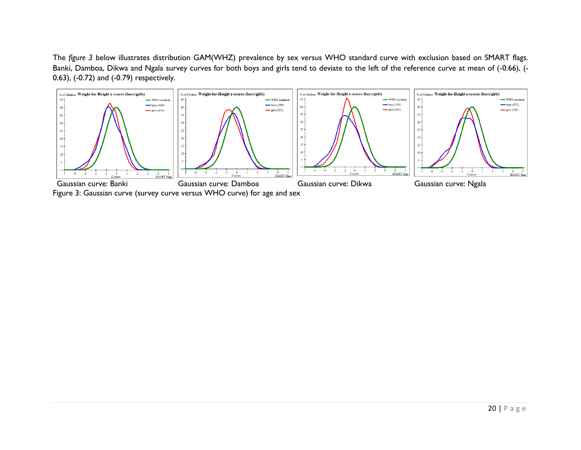The *figure 3* below illustrates distribution GAM(WHZ) prevalence by sex versus WHO standard curve with exclusion based on SMART flags. Banki, Damboa, Dikwa and Ngala survey curves for both boys and girls tend to deviate to the left of the reference curve at mean of (-0.66), (- 0.63), (-0.72) and (-0.79) respectively.



<span id="page-20-0"></span>Figure 3: Gaussian curve (survey curve versus WHO curve) for age and sex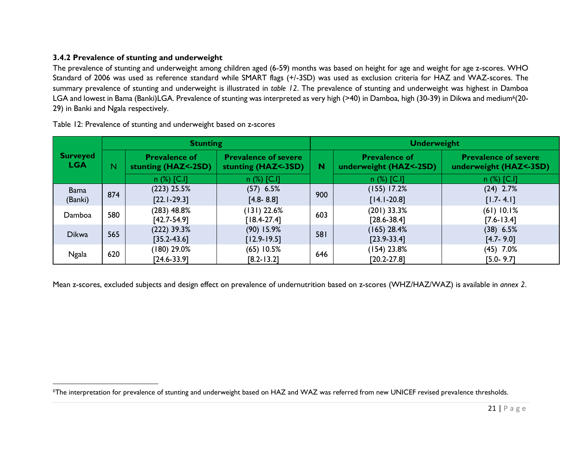## **3.4.2 Prevalence of stunting and underweight**

 $\overline{\phantom{a}}$ 

The prevalence of stunting and underweight among children aged (6-59) months was based on height for age and weight for age z-scores. WHO Standard of 2006 was used as reference standard while SMART flags (+/-3SD) was used as exclusion criteria for HAZ and WAZ-scores. The summary prevalence of stunting and underweight is illustrated in *table 12*. The prevalence of stunting and underweight was highest in Damboa LGA and lowest in Bama (Banki)LGA. Prevalence of stunting was interpreted as very high (>40) in Damboa, high (30-39) in Dikwa and medium<sup>6</sup>(20-29) in Banki and Ngala respectively.

<span id="page-21-0"></span>

|                               |     | <b>Stunting</b>                             |                                                    | <b>Underweight</b> |                                                |                                                       |  |
|-------------------------------|-----|---------------------------------------------|----------------------------------------------------|--------------------|------------------------------------------------|-------------------------------------------------------|--|
| <b>Surveyed</b><br><b>LGA</b> | N   | <b>Prevalence of</b><br>stunting (HAZ<-2SD) | <b>Prevalence of severe</b><br>stunting (HAZ<-3SD) | <b>N</b>           | <b>Prevalence of</b><br>underweight (HAZ<-2SD) | <b>Prevalence of severe</b><br>underweight (HAZ<-3SD) |  |
|                               |     | $n$ (%) [C.I]                               | $n$ (%) [C.I]                                      |                    | $n$ (%) [C.I]                                  | $n$ (%) [C.I]                                         |  |
| <b>Bama</b>                   |     | $(223)$ 25.5%                               | $(57)$ 6.5%                                        | 900                | $(155)$ 17.2%                                  | $(24)$ 2.7%                                           |  |
| (Banki)                       | 874 | $[22.1 - 29.3]$                             | $[4.8 - 8.8]$                                      |                    | $[14.1 - 20.8]$                                | $[1.7 - 4.1]$                                         |  |
| Damboa                        | 580 | $(283)$ 48.8%                               | $(131)$ 22.6%                                      | 603                | $(201)$ 33.3%                                  | (61) 10.1%                                            |  |
|                               |     | $[42.7 - 54.9]$                             | $[18.4 - 27.4]$                                    |                    | $[28.6 - 38.4]$                                | $[7.6 - 13.4]$                                        |  |
|                               | 565 | (222) 39.3%                                 | $(90)$ 15.9%                                       | 581                | $(165)$ 28.4%                                  | $(38)$ 6.5%                                           |  |
| <b>Dikwa</b>                  |     | $[35.2 - 43.6]$                             | $[12.9 - 19.5]$                                    |                    | $[23.9 - 33.4]$                                | $[4.7 - 9.0]$                                         |  |
|                               |     | (180) 29.0%                                 | $(65)$ 10.5%                                       |                    | (154) 23.8%                                    | $(45)$ 7.0%                                           |  |
| <b>Ngala</b>                  | 620 | $[24.6 - 33.9]$                             | $[8.2 - 13.2]$                                     | 646                | $[20.2 - 27.8]$                                | $[5.0 - 9.7]$                                         |  |

Table 12: Prevalence of stunting and underweight based on z-scores

Mean z-scores, excluded subjects and design effect on prevalence of undernutrition based on z-scores (WHZ/HAZ/WAZ) is available in *annex 2*.

<sup>&</sup>lt;sup>6</sup>The interpretation for prevalence of stunting and underweight based on HAZ and WAZ was referred from new UNICEF revised prevalence thresholds.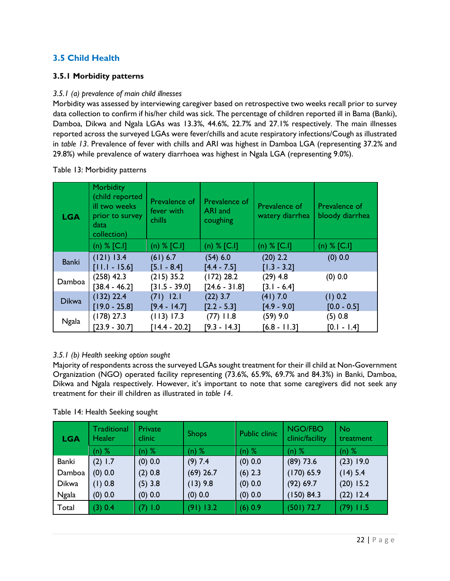## <span id="page-22-0"></span>**3.5 Child Health**

## <span id="page-22-1"></span>**3.5.1 Morbidity patterns**

## *3.5.1 (a) prevalence of main child illnesses*

Morbidity was assessed by interviewing caregiver based on retrospective two weeks recall prior to survey data collection to confirm if his/her child was sick. The percentage of children reported ill in Bama (Banki), Damboa, Dikwa and Ngala LGAs was 13.3%, 44.6%, 22.7% and 27.1% respectively. The main illnesses reported across the surveyed LGAs were fever/chills and acute respiratory infections/Cough as illustrated in *table 13*. Prevalence of fever with chills and ARI was highest in Damboa LGA (representing 37.2% and 29.8%) while prevalence of watery diarrhoea was highest in Ngala LGA (representing 9.0%).

| <b>LGA</b>   | <b>Morbidity</b><br>(child reported<br>ill two weeks<br>prior to survey<br>data<br>collection) | Prevalence of<br>fever with<br>chills | Prevalence of<br>ARI and<br>coughing | Prevalence of<br>watery diarrhea | Prevalence of<br>bloody diarrhea |
|--------------|------------------------------------------------------------------------------------------------|---------------------------------------|--------------------------------------|----------------------------------|----------------------------------|
|              | $(n)$ % [C.I]                                                                                  | $(n)$ % [C.I]                         | $(n)$ % $[C.1]$                      | $(n)$ % [C.I]                    | $(n)$ % [C.I]                    |
| <b>Banki</b> | (121) 13.4                                                                                     | (61) 6.7                              | (54) 6.0                             | $(20)$ 2.2                       | $(0)$ 0.0                        |
|              | $[11.1 - 15.6]$                                                                                | $[5.1 - 8.4]$                         | $[4.4 - 7.5]$                        | $[1.3 - 3.2]$                    |                                  |
| Damboa       | $(258)$ 42.3                                                                                   | $(215)$ 35.2                          | $(172)$ 28.2                         | $(29)$ 4.8                       | $(0)$ 0.0                        |
|              | $[38.4 - 46.2]$                                                                                | $[31.5 - 39.0]$                       | $[24.6 - 31.8]$                      | $[3.1 - 6.4]$                    |                                  |
| <b>Dikwa</b> | $(132)$ 22.4                                                                                   | $(71)$ 12.1                           | $(22)$ 3.7                           | $(41)$ 7.0                       | (1) 0.2                          |
|              | $[19.0 - 25.8]$                                                                                | $[9.4 - 14.7]$                        | $[2.2 - 5.3]$                        | $[4.9 - 9.0]$                    | $[0.0 - 0.5]$                    |
|              | $(178)$ 27.3                                                                                   | (113) 17.3                            | $(77)$ 11.8                          | (59) 9.0                         | (5) 0.8                          |
| <b>Ngala</b> | $[23.9 - 30.7]$                                                                                | $[14.4 - 20.2]$                       | $[9.3 - 14.3]$                       | $[6.8 - 11.3]$                   | $[0.1 - 1.4]$                    |

#### Table 13: Morbidity patterns

## *3.5.1 (b) Health seeking option sought*

Majority of respondents across the surveyed LGAs sought treatment for their ill child at Non-Government Organization (NGO) operated facility representing (73.6%, 65.9%, 69.7% and 84.3%) in Banki, Damboa, Dikwa and Ngala respectively. However, it's important to note that some caregivers did not seek any treatment for their ill children as illustrated in *table 14*.

|  |  |  | Table 14: Health Seeking sought |  |
|--|--|--|---------------------------------|--|
|--|--|--|---------------------------------|--|

| <b>LGA</b>   | Traditional<br><b>Healer</b> | <b>Private</b><br>clinic | <b>Shops</b> | <b>Public clinic</b> | NGO/FBO<br>clinic/facility | <b>No</b><br>treatment |
|--------------|------------------------------|--------------------------|--------------|----------------------|----------------------------|------------------------|
|              | $(n)$ %                      | (n) $%$                  | $(n)$ %      | $(n)$ %              | $(n)$ %                    | $(n)$ %                |
| Banki        | (2) 1.7                      | $(0)$ 0.0                | (9) 7.4      | $(0)$ 0.0            | $(89)$ 73.6                | $(23)$ 19.0            |
| Damboa       | $(0)$ 0.0                    | (2) 0.8                  | $(69)$ 26.7  | $(6)$ 2.3            | (170) 65.9                 | $(14)$ 5.4             |
| <b>Dikwa</b> | (1) 0.8                      | $(5)$ 3.8                | $(13)$ 9.8   | $(0)$ 0.0            | $(92)$ 69.7                | $(20)$ 15.2            |
| <b>Ngala</b> | $(0)$ 0.0                    | $(0)$ 0.0                | $(0)$ 0.0    | $(0)$ 0.0            | (150) 84.3                 | $(22)$ 12.4            |
| Total        | (3) 0.4                      | (7) 1.0                  | (91) 13.2    | (6) 0.9              | (501) 72.7                 | $(79)$ 11.5            |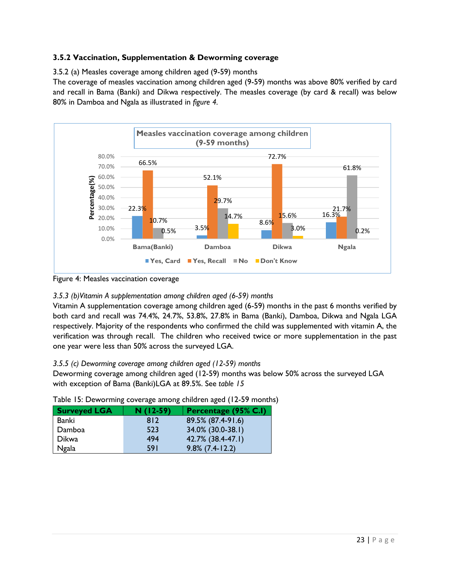## <span id="page-23-0"></span>**3.5.2 Vaccination, Supplementation & Deworming coverage**

<span id="page-23-1"></span>3.5.2 (a) Measles coverage among children aged (9-59) months

The coverage of measles vaccination among children aged (9-59) months was above 80% verified by card and recall in Bama (Banki) and Dikwa respectively. The measles coverage (by card & recall) was below 80% in Damboa and Ngala as illustrated in *figure 4.*



<span id="page-23-2"></span>Figure 4: Measles vaccination coverage

## *3.5.3 (b)Vitamin A supplementation among children aged (6-59) months*

Vitamin A supplementation coverage among children aged (6-59) months in the past 6 months verified by both card and recall was 74.4%, 24.7%, 53.8%, 27.8% in Bama (Banki), Damboa, Dikwa and Ngala LGA respectively. Majority of the respondents who confirmed the child was supplemented with vitamin A, the verification was through recall. The children who received twice or more supplementation in the past one year were less than 50% across the surveyed LGA.

## *3.5.5 (c) Deworming coverage among children aged (12-59) months*

Deworming coverage among children aged (12-59) months was below 50% across the surveyed LGA with exception of Bama (Banki)LGA at 89.5%. See *table 15*

Table 15: Deworming coverage among children aged (12-59 months)

| <b>Surveyed LGA</b> | $N(12-59)$ | <b>Percentage (95% C.I)</b> |
|---------------------|------------|-----------------------------|
| Banki               | 812        | 89.5% (87.4-91.6)           |
| Damboa              | 523        | 34.0% (30.0-38.1)           |
| Dikwa               | 494        | $42.7\%$ (38.4-47.1)        |
| Ngala               | 591        | $9.8\%$ (7.4-12.2)          |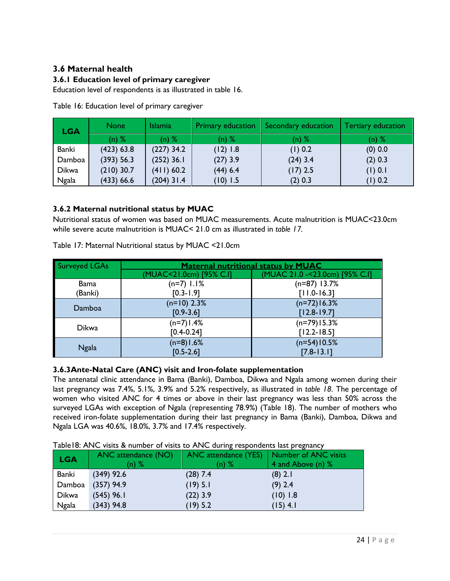## <span id="page-24-0"></span>**3.6 Maternal health**

## <span id="page-24-1"></span>**3.6.1 Education level of primary caregiver**

Education level of respondents is as illustrated in table 16.

| <b>LGA</b>   | <b>None</b>  | <b>Islamia</b> | <b>Primary education</b> | Secondary education | Tertiary education |
|--------------|--------------|----------------|--------------------------|---------------------|--------------------|
|              | $(n)$ %      | (n) %          | $(n)$ %                  | $(n)$ %             | $(n)$ %            |
| Banki        | (423) 63.8   | $(227)$ 34.2   | (12) 1.8                 | (1) 0.2             | $(0)$ 0.0          |
| Damboa       | (393) 56.3   | $(252)$ 36.1   | $(27)$ 3.9               | $(24)$ 3.4          | $(2)$ 0.3          |
| <b>Dikwa</b> | $(210)$ 30.7 | (411) 60.2     | $(44)$ 6.4               | $(17)$ 2.5          | (1) 0.1            |
| <b>Ngala</b> | (433) 66.6   | $(204)$ 31.4   | (10) 1.5                 | $(2)$ 0.3           | (1) 0.2            |

Table 16: Education level of primary caregiver

## <span id="page-24-2"></span>**3.6.2 Maternal nutritional status by MUAC**

Nutritional status of women was based on MUAC measurements. Acute malnutrition is MUAC<23.0cm while severe acute malnutrition is MUAC< 21.0 cm as illustrated in *table 17.*

| <b>Surveyed LGAs</b> | <b>Maternal nutritional status by MUAC</b> |                                 |  |  |  |
|----------------------|--------------------------------------------|---------------------------------|--|--|--|
|                      | (MUAC<21.0cm) [95% C.I]                    | (MUAC 21.0 -< 23.0cm) [95% C.I] |  |  |  |
| Bama                 | $(n=7)$ 1.1%                               | $(n=87)$ 13.7%                  |  |  |  |
| (Banki)              | $[0.3 - 1.9]$                              | $[11.0 - 16.3]$                 |  |  |  |
|                      | $(n=10)$ 2.3%                              | $(n=72)16.3%$                   |  |  |  |
| Damboa               | $[0.9 - 3.6]$                              | $[12.8 - 19.7]$                 |  |  |  |
|                      | $(n=7)1.4%$                                | $(n=79)15.3%$                   |  |  |  |
| Dikwa                | $[0.4 - 0.24]$                             | $[12.2 - 18.5]$                 |  |  |  |
|                      | $(n=8)1.6%$                                | $(n=54)10.5%$                   |  |  |  |
| <b>Ngala</b>         | $[0.5 - 2.6]$                              | $[7.8 - 13.1]$                  |  |  |  |

Table 17: Maternal Nutritional status by MUAC <21.0cm

## <span id="page-24-3"></span>**3.6.3Ante-Natal Care (ANC) visit and Iron-folate supplementation**

The antenatal clinic attendance in Bama (Banki), Damboa, Dikwa and Ngala among women during their last pregnancy was 7.4%, 5.1%, 3.9% and 5.2% respectively, as illustrated in *table 18*. The percentage of women who visited ANC for 4 times or above in their last pregnancy was less than 50% across the surveyed LGAs with exception of Ngala (representing 78.9%) (Table 18). The number of mothers who received iron-folate supplementation during their last pregnancy in Bama (Banki), Damboa, Dikwa and Ngala LGA was 40.6%, 18.0%, 3.7% and 17.4% respectively.

| LGA    | ANC attendance (NO)<br>(n) % | ANC attendance (YES)   Number of ANC visits<br>$(n)$ % | 4 and Above (n) % |  |  |  |  |
|--------|------------------------------|--------------------------------------------------------|-------------------|--|--|--|--|
| Banki  | $(349)$ 92.6                 | $(28)$ 7.4                                             | $(8)$ 2.1         |  |  |  |  |
| Damboa | $(357)$ 94.9                 | (19) 5.1                                               | $(9)$ 2.4         |  |  |  |  |
| Dikwa  | $(545)$ 96.1                 | $(22)$ 3.9                                             | $(10)$ 1.8        |  |  |  |  |
| Ngala  | $(343)$ 94.8                 | (19) 5.2                                               | $(15)$ 4.1        |  |  |  |  |

Table18: ANC visits & number of visits to ANC during respondents last pregnancy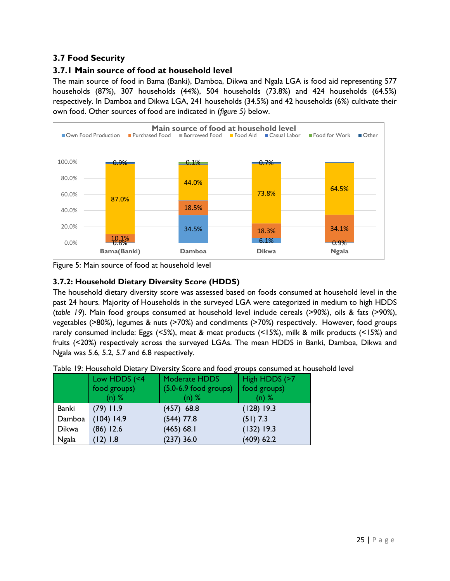## <span id="page-25-0"></span>**3.7 Food Security**

## <span id="page-25-1"></span>**3.7.1 Main source of food at household level**

The main source of food in Bama (Banki), Damboa, Dikwa and Ngala LGA is food aid representing 577 households (87%), 307 households (44%), 504 households (73.8%) and 424 households (64.5%) respectively. In Damboa and Dikwa LGA, 241 households (34.5%) and 42 households (6%) cultivate their own food. Other sources of food are indicated in (*figure 5)* below.



<span id="page-25-3"></span>Figure 5: Main source of food at household level

## <span id="page-25-2"></span>**3.7.2: Household Dietary Diversity Score (HDDS)**

The household dietary diversity score was assessed based on foods consumed at household level in the past 24 hours. Majority of Households in the surveyed LGA were categorized in medium to high HDDS (*table 19*). Main food groups consumed at household level include cereals (>90%), oils & fats (>90%), vegetables (>80%), legumes & nuts (>70%) and condiments (>70%) respectively. However, food groups rarely consumed include: Eggs (<5%), meat & meat products (<15%), milk & milk products (<15%) and fruits (<20%) respectively across the surveyed LGAs. The mean HDDS in Banki, Damboa, Dikwa and Ngala was 5.6, 5.2, 5.7 and 6.8 respectively.

Table 19: Household Dietary Diversity Score and food groups consumed at household level

|        | Low HDDS (<4 | Moderate HDDS                   | High HDDS (>7 |
|--------|--------------|---------------------------------|---------------|
|        | food groups) | $(5.0-6.9 \text{ food groups})$ | food groups)  |
|        | $(n)$ %      | $(n)$ %                         | $(n)$ %       |
| Banki  | $(79)$ 11.9  | $(457)$ 68.8                    | $(128)$ 19.3  |
| Damboa | $(104)$ 14.9 | $(544)$ 77.8                    | $(51)$ 7.3    |
| Dikwa  | $(86)$ 12.6  | (465) 68.1                      | $(132)$ 19.3  |
| Ngala  | (12) 1.8     | (237) 36.0                      | $(409)$ 62.2  |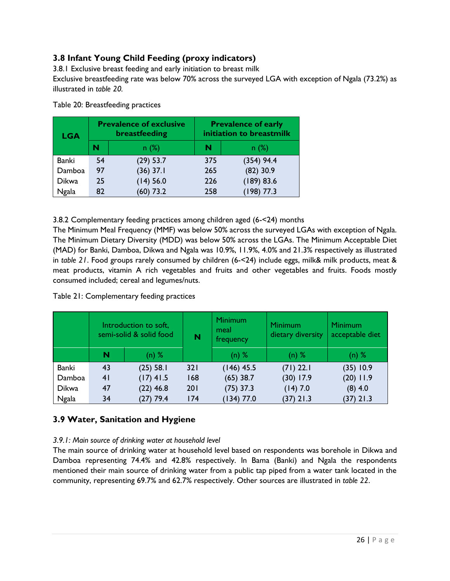## <span id="page-26-0"></span>**3.8 Infant Young Child Feeding (proxy indicators)**

<span id="page-26-1"></span>3.8.1 Exclusive breast feeding and early initiation to breast milk

Exclusive breastfeeding rate was below 70% across the surveyed LGA with exception of Ngala (73.2%) as illustrated in *table 20.*

| <b>LGA</b>   | <b>Prevalence of exclusive</b><br>breastfeeding |             | <b>Prevalence of early</b><br>initiation to breastmilk |              |
|--------------|-------------------------------------------------|-------------|--------------------------------------------------------|--------------|
|              | N                                               | n(%)        | N                                                      | n(%)         |
| <b>Banki</b> | 54                                              | $(29)$ 53.7 | 375                                                    | $(354)$ 94.4 |
| Damboa       | 97                                              | $(36)$ 37.1 | 265                                                    | $(82)$ 30.9  |
| Dikwa        | 25                                              | (14) 56.0   | 226                                                    | (189) 83.6   |
| <b>Ngala</b> | 82                                              | $(60)$ 73.2 | 258                                                    | $(198)$ 77.3 |

Table 20: Breastfeeding practices

## <span id="page-26-2"></span>3.8.2 Complementary feeding practices among children aged (6-<24) months

The Minimum Meal Frequency (MMF) was below 50% across the surveyed LGAs with exception of Ngala. The Minimum Dietary Diversity (MDD) was below 50% across the LGAs. The Minimum Acceptable Diet (MAD) for Banki, Damboa, Dikwa and Ngala was 10.9%, 11.9%, 4.0% and 21.3% respectively as illustrated in *table 21*. Food groups rarely consumed by children (6-<24) include eggs, milk& milk products, meat & meat products, vitamin A rich vegetables and fruits and other vegetables and fruits. Foods mostly consumed included; cereal and legumes/nuts.

|              | Introduction to soft,<br>semi-solid & solid food |             | N   | <b>Minimum</b><br>meal<br>frequency | <b>Minimum</b><br>dietary diversity | <b>Minimum</b><br>acceptable diet |
|--------------|--------------------------------------------------|-------------|-----|-------------------------------------|-------------------------------------|-----------------------------------|
|              | N                                                | $(n)$ %     |     | $(n)$ %                             | $(n)$ %                             | $(n)$ %                           |
| Banki        | 43                                               | $(25)$ 58.1 | 321 | $(146)$ 45.5                        | $(71)$ 22.1                         | (35) 10.9                         |
| Damboa       | 41                                               | $(17)$ 41.5 | 168 | $(65)$ 38.7                         | $(30)$ 17.9                         | $(20)$ 11.9                       |
| <b>Dikwa</b> | 47                                               | $(22)$ 46.8 | 201 | $(75)$ 37.3                         | $(14)$ 7.0                          | $(8)$ 4.0                         |
| <b>Ngala</b> | 34                                               | $(27)$ 79.4 | 174 | (134) 77.0                          | $(37)$ 21.3                         | $(37)$ 21.3                       |

Table 21: Complementary feeding practices

## <span id="page-26-3"></span>**3.9 Water, Sanitation and Hygiene**

## *3.9.1: Main source of drinking water at household level*

The main source of drinking water at household level based on respondents was borehole in Dikwa and Damboa representing 74.4% and 42.8% respectively. In Bama (Banki) and Ngala the respondents mentioned their main source of drinking water from a public tap piped from a water tank located in the community, representing 69.7% and 62.7% respectively. Other sources are illustrated in *table 22*.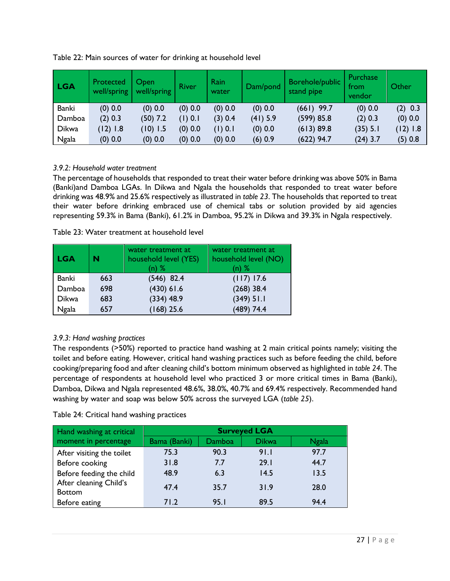| LGA          | Protected<br>well/spring | Open<br>well/spring | <b>River</b> | Rain<br>water | Dam/pond  | Borehole/public<br>stand pipe | Purchase<br>from<br>vendor | Other     |
|--------------|--------------------------|---------------------|--------------|---------------|-----------|-------------------------------|----------------------------|-----------|
| Banki        | $(0)$ 0.0                | $(0)$ 0.0           | $(0)$ 0.0    | $(0)$ 0.0     | $(0)$ 0.0 | $(661)$ 99.7                  | $(0)$ 0.0                  | (2) 0.3   |
| Damboa       | $(2)$ 0.3                | $(50)$ 7.2          | (1) 0.1      | (3) 0.4       | (41) 5.9  | (599) 85.8                    | $(2)$ 0.3                  | $(0)$ 0.0 |
| Dikwa        | (12) 1.8                 | $(10)$ 1.5          | $(0)$ 0.0    | (1) 0.1       | $(0)$ 0.0 | (613) 89.8                    | (35) 5.1                   | (12) 1.8  |
| <b>Ngala</b> | $(0)$ 0.0                | $(0)$ 0.0           | $(0)$ 0.0    | $(0)$ 0.0     | (6) 0.9   | $(622)$ 94.7                  | $(24)$ 3.7                 | (5) 0.8   |

Table 22: Main sources of water for drinking at household level

## *3.9.2: Household water treatment*

The percentage of households that responded to treat their water before drinking was above 50% in Bama (Banki)and Damboa LGAs. In Dikwa and Ngala the households that responded to treat water before drinking was 48.9% and 25.6% respectively as illustrated in *table 23*. The households that reported to treat their water before drinking embraced use of chemical tabs or solution provided by aid agencies representing 59.3% in Bama (Banki), 61.2% in Damboa, 95.2% in Dikwa and 39.3% in Ngala respectively.

|  |  | Table 23: Water treatment at household level |  |
|--|--|----------------------------------------------|--|
|--|--|----------------------------------------------|--|

| <b>LGA</b>   | N   | water treatment at<br>household level (YES)<br>(n) % | water treatment at<br>household level (NO)<br>$(n)$ % |
|--------------|-----|------------------------------------------------------|-------------------------------------------------------|
| Banki        | 663 | $(546)$ 82.4                                         | (117) 17.6                                            |
| Damboa       | 698 | $(430)$ 61.6                                         | $(268)$ 38.4                                          |
| <b>Dikwa</b> | 683 | (334) 48.9                                           | $(349)$ 51.1                                          |
| <b>Ngala</b> | 657 | $(168)$ 25.6                                         | $(489)$ 74.4                                          |

## *3.9.3: Hand washing practices*

The respondents (>50%) reported to practice hand washing at 2 main critical points namely; visiting the toilet and before eating. However, critical hand washing practices such as before feeding the child, before cooking/preparing food and after cleaning child's bottom minimum observed as highlighted in *table 24*. The percentage of respondents at household level who practiced 3 or more critical times in Bama (Banki), Damboa, Dikwa and Ngala represented 48.6%, 38.0%, 40.7% and 69.4% respectively. Recommended hand washing by water and soap was below 50% across the surveyed LGA (*table 25*).

| Table 24: Critical hand washing practices |  |
|-------------------------------------------|--|
|-------------------------------------------|--|

| Hand washing at critical                | <b>Surveyed LGA</b> |               |              |              |  |  |
|-----------------------------------------|---------------------|---------------|--------------|--------------|--|--|
| moment in percentage                    | Bama (Banki)        | <b>Damboa</b> | <b>Dikwa</b> | <b>Ngala</b> |  |  |
| After visiting the toilet               | 75.3                | 90.3          | 91.1         | 97.7         |  |  |
| Before cooking                          | 31.8                | 7.7           | 29.1         | 44.7         |  |  |
| Before feeding the child                | 48.9                | 6.3           | 14.5         | 13.5         |  |  |
| After cleaning Child's<br><b>Bottom</b> | 47.4                | 35.7          | 31.9         | 28.0         |  |  |
| Before eating                           | 71.2                | 95.I          | 89.5         | 94.4         |  |  |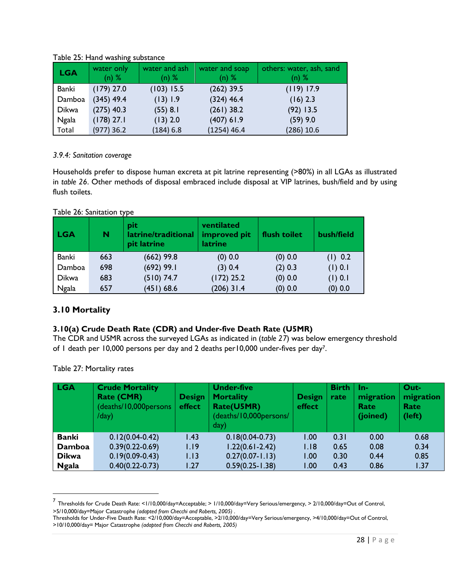| <b>LGA</b>   | water only<br>$(n)$ % | water and ash<br>$(n)$ % | water and soap<br>$(n)$ % | others: water, ash, sand<br>$(n)$ % |
|--------------|-----------------------|--------------------------|---------------------------|-------------------------------------|
| Banki        | $(179)$ 27.0          | $(103)$ 15.5             | $(262)$ 39.5              | (119) 17.9                          |
| Damboa       | $(345)$ 49.4          | (13) 1.9                 | $(324)$ 46.4              | $(16)$ 2.3                          |
| <b>Dikwa</b> | $(275)$ 40.3          | (55) 8.1                 | $(261)$ 38.2              | $(92)$ 13.5                         |
| <b>Ngala</b> | $(178)$ 27.1          | $(13)$ 2.0               | (407) 61.9                | $(59)$ 9.0                          |
| Total        | $(977)$ 36.2          | (184) 6.8                | $(1254)$ 46.4             | (286) 10.6                          |

## Table 25: Hand washing substance

## *3.9.4: Sanitation coverage*

Households prefer to dispose human excreta at pit latrine representing (>80%) in all LGAs as illustrated in *table 26*. Other methods of disposal embraced include disposal at VIP latrines, bush/field and by using flush toilets.

## Table 26: Sanitation type

| LGA          | N   | pit<br>latrine/traditional<br>pit latrine | ventilated<br>improved pit<br><b>latrine</b> | flush toilet | bush/field |
|--------------|-----|-------------------------------------------|----------------------------------------------|--------------|------------|
| Banki        | 663 | $(662)$ 99.8                              | $(0)$ 0.0                                    | $(0)$ 0.0    | (1) 0.2    |
| Damboa       | 698 | $(692)$ 99.1                              | (3) 0.4                                      | (2) 0.3      | (1) 0.1    |
| <b>Dikwa</b> | 683 | (510) 74.7                                | $(172)$ 25.2                                 | $(0)$ 0.0    | (1) 0.1    |
| <b>Ngala</b> | 657 | (451) 68.6                                | $(206)$ 31.4                                 | $(0)$ 0.0    | $(0)$ 0.0  |

## <span id="page-28-0"></span>**3.10 Mortality**

## <span id="page-28-1"></span>**3.10(a) Crude Death Rate (CDR) and Under-five Death Rate (U5MR)**

The CDR and U5MR across the surveyed LGAs as indicated in (*table 27*) was below emergency threshold of 1 death per 10,000 persons per day and 2 deaths per10,000 under-fives per day7.

Table 27: Mortality rates

l

| <b>LGA</b>    | <b>Crude Mortality</b><br>Rate (CMR)<br>(deaths/10,000 persons)<br>/day) | Design/<br>effect | <b>Under-five</b><br><b>Mortality</b><br>Rate(U5MR)<br>(deaths/10,000 persons/<br>day) | <b>Design</b><br>effect | <b>Birth</b><br>rate | -In<br>migration<br>Rate<br>(joined) | Out-<br>migration<br>Rate<br>(left) |
|---------------|--------------------------------------------------------------------------|-------------------|----------------------------------------------------------------------------------------|-------------------------|----------------------|--------------------------------------|-------------------------------------|
| <b>Banki</b>  | $0.12(0.04-0.42)$                                                        | 1.43              | $0.18(0.04-0.73)$                                                                      | 0.00                    | 0.31                 | 0.00                                 | 0.68                                |
| <b>Damboa</b> | $0.39(0.22 - 0.69)$                                                      | 1.19              | $1.22(0.61 - 2.42)$                                                                    | 1.18                    | 0.65                 | 0.08                                 | 0.34                                |
| <b>Dikwa</b>  | $0.19(0.09 - 0.43)$                                                      | 1.13              | $0.27(0.07 - 1.13)$                                                                    | 1.00                    | 0.30                 | 0.44                                 | 0.85                                |
| <b>Ngala</b>  | $0.40(0.22 - 0.73)$                                                      | 1.27              | $0.59(0.25 - 1.38)$                                                                    | 0.00                    | 0.43                 | 0.86                                 | 1.37                                |

<sup>7</sup> Thresholds for Crude Death Rate: <1/10,000/day=Acceptable; > 1/10,000/day=Very Serious/emergency, > 2/10,000/day=Out of Control, >5/10,000/day=Major Catastrophe *(adapted from Checchi and Roberts, 2005) .*

Thresholds for Under-Five Death Rate: <2/10,000/day=Acceptable, >2/10,000/day=Very Serious/emergency, >4/10,000/day=Out of Control, >10/10,000/day= Major Catastrophe *(adapted from Checchi and Roberts, 2005)*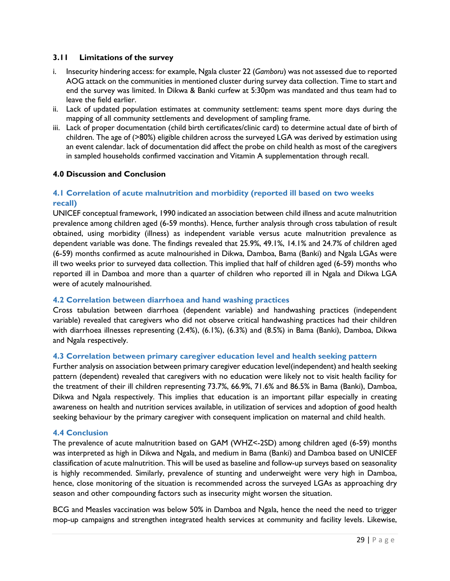### <span id="page-29-0"></span>**3.11 Limitations of the survey**

- i. Insecurity hindering access: for example, Ngala cluster 22 (*Gamboru*) was not assessed due to reported AOG attack on the communities in mentioned cluster during survey data collection. Time to start and end the survey was limited. In Dikwa & Banki curfew at 5:30pm was mandated and thus team had to leave the field earlier.
- ii. Lack of updated population estimates at community settlement: teams spent more days during the mapping of all community settlements and development of sampling frame.
- iii. Lack of proper documentation (child birth certificates/clinic card) to determine actual date of birth of children. The age of (>80%) eligible children across the surveyed LGA was derived by estimation using an event calendar. lack of documentation did affect the probe on child health as most of the caregivers in sampled households confirmed vaccination and Vitamin A supplementation through recall.

## <span id="page-29-1"></span>**4.0 Discussion and Conclusion**

## <span id="page-29-2"></span>**4.1 Correlation of acute malnutrition and morbidity (reported ill based on two weeks recall)**

UNICEF conceptual framework, 1990 indicated an association between child illness and acute malnutrition prevalence among children aged (6-59 months). Hence, further analysis through cross tabulation of result obtained, using morbidity (illness) as independent variable versus acute malnutrition prevalence as dependent variable was done. The findings revealed that 25.9%, 49.1%, 14.1% and 24.7% of children aged (6-59) months confirmed as acute malnourished in Dikwa, Damboa, Bama (Banki) and Ngala LGAs were ill two weeks prior to surveyed data collection. This implied that half of children aged (6-59) months who reported ill in Damboa and more than a quarter of children who reported ill in Ngala and Dikwa LGA were of acutely malnourished.

## <span id="page-29-3"></span>**4.2 Correlation between diarrhoea and hand washing practices**

Cross tabulation between diarrhoea (dependent variable) and handwashing practices (independent variable) revealed that caregivers who did not observe critical handwashing practices had their children with diarrhoea illnesses representing (2.4%), (6.1%), (6.3%) and (8.5%) in Bama (Banki), Damboa, Dikwa and Ngala respectively.

#### <span id="page-29-4"></span>**4.3 Correlation between primary caregiver education level and health seeking pattern**

Further analysis on association between primary caregiver education level(independent) and health seeking pattern (dependent) revealed that caregivers with no education were likely not to visit health facility for the treatment of their ill children representing 73.7%, 66.9%, 71.6% and 86.5% in Bama (Banki), Damboa, Dikwa and Ngala respectively. This implies that education is an important pillar especially in creating awareness on health and nutrition services available, in utilization of services and adoption of good health seeking behaviour by the primary caregiver with consequent implication on maternal and child health.

#### <span id="page-29-5"></span>**4.4 Conclusion**

The prevalence of acute malnutrition based on GAM (WHZ<-2SD) among children aged (6-59) months was interpreted as high in Dikwa and Ngala, and medium in Bama (Banki) and Damboa based on UNICEF classification of acute malnutrition. This will be used as baseline and follow-up surveys based on seasonality is highly recommended. Similarly, prevalence of stunting and underweight were very high in Damboa, hence, close monitoring of the situation is recommended across the surveyed LGAs as approaching dry season and other compounding factors such as insecurity might worsen the situation.

BCG and Measles vaccination was below 50% in Damboa and Ngala, hence the need the need to trigger mop-up campaigns and strengthen integrated health services at community and facility levels. Likewise,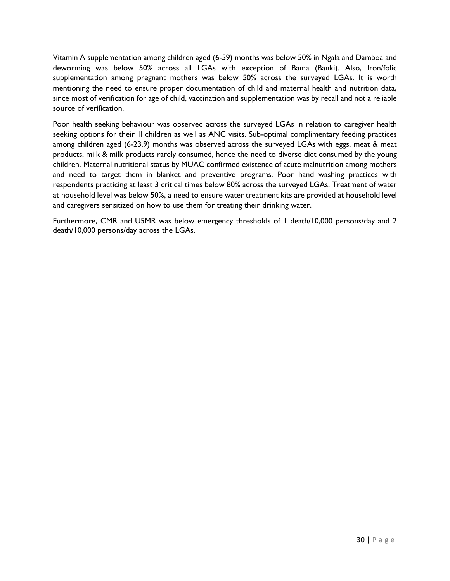Vitamin A supplementation among children aged (6-59) months was below 50% in Ngala and Damboa and deworming was below 50% across all LGAs with exception of Bama (Banki). Also, Iron/folic supplementation among pregnant mothers was below 50% across the surveyed LGAs. It is worth mentioning the need to ensure proper documentation of child and maternal health and nutrition data, since most of verification for age of child, vaccination and supplementation was by recall and not a reliable source of verification.

Poor health seeking behaviour was observed across the surveyed LGAs in relation to caregiver health seeking options for their ill children as well as ANC visits. Sub-optimal complimentary feeding practices among children aged (6-23.9) months was observed across the surveyed LGAs with eggs, meat & meat products, milk & milk products rarely consumed, hence the need to diverse diet consumed by the young children. Maternal nutritional status by MUAC confirmed existence of acute malnutrition among mothers and need to target them in blanket and preventive programs. Poor hand washing practices with respondents practicing at least 3 critical times below 80% across the surveyed LGAs. Treatment of water at household level was below 50%, a need to ensure water treatment kits are provided at household level and caregivers sensitized on how to use them for treating their drinking water.

Furthermore, CMR and U5MR was below emergency thresholds of 1 death/10,000 persons/day and 2 death/10,000 persons/day across the LGAs.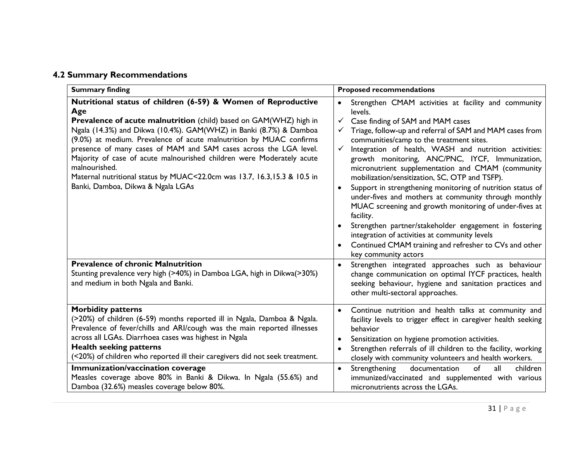|  |  | <b>4.2 Summary Recommendations</b> |
|--|--|------------------------------------|
|--|--|------------------------------------|

<span id="page-31-0"></span>

| <b>Summary finding</b>                                                                                                                                                                                                                                                                                                                                                                                                                                                                                                                                                   | <b>Proposed recommendations</b>                                                                                                                                                                                                                                                                                                                                                                                                                                                                                                                                                                                                                                                                                                                                                                                                                                     |
|--------------------------------------------------------------------------------------------------------------------------------------------------------------------------------------------------------------------------------------------------------------------------------------------------------------------------------------------------------------------------------------------------------------------------------------------------------------------------------------------------------------------------------------------------------------------------|---------------------------------------------------------------------------------------------------------------------------------------------------------------------------------------------------------------------------------------------------------------------------------------------------------------------------------------------------------------------------------------------------------------------------------------------------------------------------------------------------------------------------------------------------------------------------------------------------------------------------------------------------------------------------------------------------------------------------------------------------------------------------------------------------------------------------------------------------------------------|
| Nutritional status of children (6-59) & Women of Reproductive<br>Age<br>Prevalence of acute malnutrition (child) based on GAM(WHZ) high in<br>Ngala (14.3%) and Dikwa (10.4%). GAM(WHZ) in Banki (8.7%) & Damboa<br>(9.0%) at medium. Prevalence of acute malnutrition by MUAC confirms<br>presence of many cases of MAM and SAM cases across the LGA level.<br>Majority of case of acute malnourished children were Moderately acute<br>malnourished.<br>Maternal nutritional status by MUAC<22.0cm was 13.7, 16.3, 15.3 & 10.5 in<br>Banki, Damboa, Dikwa & Ngala LGAs | Strengthen CMAM activities at facility and community<br>levels.<br>$\checkmark$<br>Case finding of SAM and MAM cases<br>Triage, follow-up and referral of SAM and MAM cases from<br>communities/camp to the treatment sites.<br>Integration of health, WASH and nutrition activities:<br>growth monitoring, ANC/PNC, IYCF, Immunization,<br>micronutrient supplementation and CMAM (community<br>mobilization/sensitization, SC, OTP and TSFP).<br>Support in strengthening monitoring of nutrition status of<br>$\bullet$<br>under-fives and mothers at community through monthly<br>MUAC screening and growth monitoring of under-fives at<br>facility.<br>Strengthen partner/stakeholder engagement in fostering<br>integration of activities at community levels<br>Continued CMAM training and refresher to CVs and other<br>$\bullet$<br>key community actors |
| <b>Prevalence of chronic Malnutrition</b><br>Stunting prevalence very high (>40%) in Damboa LGA, high in Dikwa(>30%)<br>and medium in both Ngala and Banki.                                                                                                                                                                                                                                                                                                                                                                                                              | Strengthen integrated approaches such as behaviour<br>$\bullet$<br>change communication on optimal IYCF practices, health<br>seeking behaviour, hygiene and sanitation practices and<br>other multi-sectoral approaches.                                                                                                                                                                                                                                                                                                                                                                                                                                                                                                                                                                                                                                            |
| <b>Morbidity patterns</b><br>(>20%) of children (6-59) months reported ill in Ngala, Damboa & Ngala.<br>Prevalence of fever/chills and ARI/cough was the main reported illnesses<br>across all LGAs. Diarrhoea cases was highest in Ngala<br><b>Health seeking patterns</b><br>(<20%) of children who reported ill their caregivers did not seek treatment.                                                                                                                                                                                                              | Continue nutrition and health talks at community and<br>facility levels to trigger effect in caregiver health seeking<br>behavior<br>Sensitization on hygiene promotion activities.<br>$\bullet$<br>Strengthen referrals of ill children to the facility, working<br>$\bullet$<br>closely with community volunteers and health workers.                                                                                                                                                                                                                                                                                                                                                                                                                                                                                                                             |
| Immunization/vaccination coverage<br>Measles coverage above 80% in Banki & Dikwa. In Ngala (55.6%) and<br>Damboa (32.6%) measles coverage below 80%.                                                                                                                                                                                                                                                                                                                                                                                                                     | Strengthening<br>documentation<br>of<br>children<br>all<br>$\bullet$<br>immunized/vaccinated and supplemented with various<br>micronutrients across the LGAs.                                                                                                                                                                                                                                                                                                                                                                                                                                                                                                                                                                                                                                                                                                       |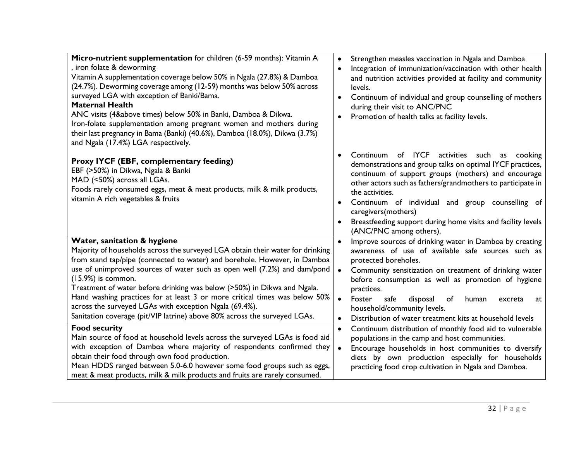| Micro-nutrient supplementation for children (6-59 months): Vitamin A<br>iron folate & deworming<br>Vitamin A supplementation coverage below 50% in Ngala (27.8%) & Damboa<br>(24.7%). Deworming coverage among (12-59) months was below 50% across<br>surveyed LGA with exception of Banki/Bama.<br><b>Maternal Health</b><br>ANC visits (4&above times) below 50% in Banki, Damboa & Dikwa.<br>Iron-folate supplementation among pregnant women and mothers during<br>their last pregnancy in Bama (Banki) (40.6%), Damboa (18.0%), Dikwa (3.7%)<br>and Ngala (17.4%) LGA respectively.       | Strengthen measles vaccination in Ngala and Damboa<br>$\bullet$<br>Integration of immunization/vaccination with other health<br>$\bullet$<br>and nutrition activities provided at facility and community<br>levels.<br>Continuum of individual and group counselling of mothers<br>$\bullet$<br>during their visit to ANC/PNC<br>Promotion of health talks at facility levels.<br>$\bullet$                                                                                      |
|------------------------------------------------------------------------------------------------------------------------------------------------------------------------------------------------------------------------------------------------------------------------------------------------------------------------------------------------------------------------------------------------------------------------------------------------------------------------------------------------------------------------------------------------------------------------------------------------|----------------------------------------------------------------------------------------------------------------------------------------------------------------------------------------------------------------------------------------------------------------------------------------------------------------------------------------------------------------------------------------------------------------------------------------------------------------------------------|
| <b>Proxy IYCF (EBF, complementary feeding)</b><br>EBF (>50%) in Dikwa, Ngala & Banki<br>MAD (<50%) across all LGAs.<br>Foods rarely consumed eggs, meat & meat products, milk & milk products,<br>vitamin A rich vegetables & fruits                                                                                                                                                                                                                                                                                                                                                           | Continuum of IYCF activities such as cooking<br>$\bullet$<br>demonstrations and group talks on optimal IYCF practices,<br>continuum of support groups (mothers) and encourage<br>other actors such as fathers/grandmothers to participate in<br>the activities.<br>Continuum of individual and group counselling of<br>$\bullet$<br>caregivers(mothers)<br>Breastfeeding support during home visits and facility levels<br>(ANC/PNC among others).                               |
| Water, sanitation & hygiene<br>Majority of households across the surveyed LGA obtain their water for drinking<br>from stand tap/pipe (connected to water) and borehole. However, in Damboa<br>use of unimproved sources of water such as open well (7.2%) and dam/pond<br>$(15.9%)$ is common.<br>Treatment of water before drinking was below (>50%) in Dikwa and Ngala.<br>Hand washing practices for at least 3 or more critical times was below 50%<br>across the surveyed LGAs with exception Ngala (69.4%).<br>Sanitation coverage (pit/VIP latrine) above 80% across the surveyed LGAs. | Improve sources of drinking water in Damboa by creating<br>$\bullet$<br>awareness of use of available safe sources such as<br>protected boreholes.<br>Community sensitization on treatment of drinking water<br>$\bullet$<br>before consumption as well as promotion of hygiene<br>practices.<br>$\bullet$<br>Foster<br>safe<br>disposal<br>human<br>of<br>excreta<br>at<br>household/community levels.<br>Distribution of water treatment kits at household levels<br>$\bullet$ |
| <b>Food security</b><br>Main source of food at household levels across the surveyed LGAs is food aid<br>with exception of Damboa where majority of respondents confirmed they<br>obtain their food through own food production.<br>Mean HDDS ranged between 5.0-6.0 however some food groups such as eggs,<br>meat & meat products, milk & milk products and fruits are rarely consumed.                                                                                                                                                                                                       | Continuum distribution of monthly food aid to vulnerable<br>$\bullet$<br>populations in the camp and host communities.<br>Encourage households in host communities to diversify<br>$\bullet$<br>diets by own production especially for households<br>practicing food crop cultivation in Ngala and Damboa.                                                                                                                                                                       |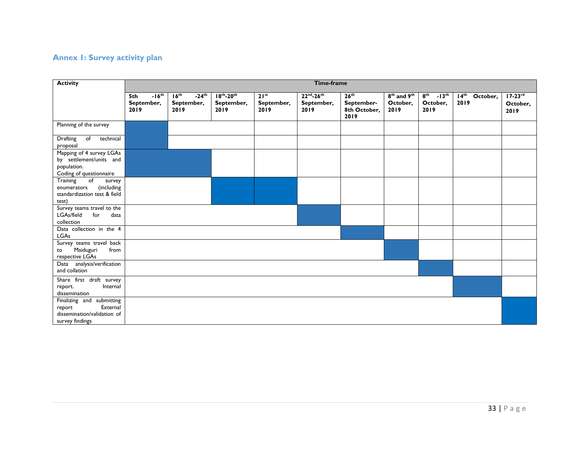## **Annex 1: Survey activity plan**

<span id="page-33-0"></span>

| <b>Activity</b>                                                                                   | Time-frame                           |                                                               |                                           |                                 |                                           |                                                        |                                                         |                                                |                                   |                                  |
|---------------------------------------------------------------------------------------------------|--------------------------------------|---------------------------------------------------------------|-------------------------------------------|---------------------------------|-------------------------------------------|--------------------------------------------------------|---------------------------------------------------------|------------------------------------------------|-----------------------------------|----------------------------------|
|                                                                                                   | $-16th$<br>5th<br>September,<br>2019 | 16 <sup>th</sup><br>$-24$ <sup>th</sup><br>September,<br>2019 | $18^{th} - 20^{th}$<br>September,<br>2019 | $21^{st}$<br>September,<br>2019 | $22^{nd} - 26^{th}$<br>September,<br>2019 | 26 <sup>th</sup><br>September-<br>8th October,<br>2019 | 8 <sup>th</sup> and 9 <sup>th</sup><br>October,<br>2019 | $8^{th}$ -13 <sup>th</sup><br>October,<br>2019 | 14 <sup>th</sup> October,<br>2019 | $17 - 23$ rd<br>October,<br>2019 |
| Planning of the survey                                                                            |                                      |                                                               |                                           |                                 |                                           |                                                        |                                                         |                                                |                                   |                                  |
| Drafting<br>technical<br>of<br>proposal                                                           |                                      |                                                               |                                           |                                 |                                           |                                                        |                                                         |                                                |                                   |                                  |
| Mapping of 4 survey LGAs<br>by settlement/units and<br>population.<br>Coding of questionnaire     |                                      |                                                               |                                           |                                 |                                           |                                                        |                                                         |                                                |                                   |                                  |
| Training<br>of<br>survey<br>(including<br>enumerators<br>standardization test & field<br>test)    |                                      |                                                               |                                           |                                 |                                           |                                                        |                                                         |                                                |                                   |                                  |
| Survey teams travel to the<br>LGAs/field<br>for<br>data<br>collection                             |                                      |                                                               |                                           |                                 |                                           |                                                        |                                                         |                                                |                                   |                                  |
| Data collection in the 4<br>LGAs                                                                  |                                      |                                                               |                                           |                                 |                                           |                                                        |                                                         |                                                |                                   |                                  |
| Survey teams travel back<br>Maiduguri<br>from<br>to<br>respective LGAs                            |                                      |                                                               |                                           |                                 |                                           |                                                        |                                                         |                                                |                                   |                                  |
| Data analysis/verification<br>and collation                                                       |                                      |                                                               |                                           |                                 |                                           |                                                        |                                                         |                                                |                                   |                                  |
| Share first draft survey<br>Internal<br>report.<br>dissemination                                  |                                      |                                                               |                                           |                                 |                                           |                                                        |                                                         |                                                |                                   |                                  |
| Finalizing and submitting<br>External<br>report<br>dissemination/validation of<br>survey findings |                                      |                                                               |                                           |                                 |                                           |                                                        |                                                         |                                                |                                   |                                  |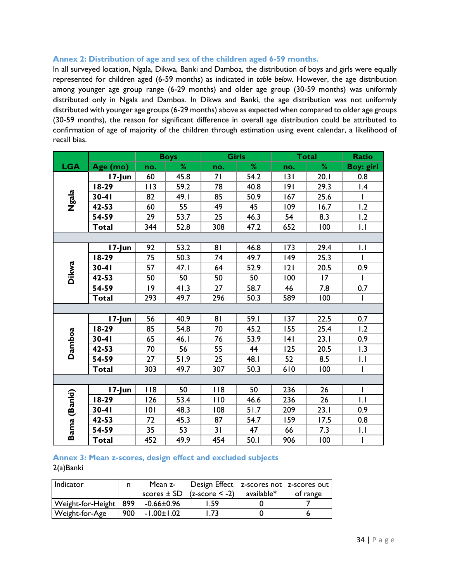## <span id="page-34-0"></span>**Annex 2: Distribution of age and sex of the children aged 6-59 months.**

In all surveyed location, Ngala, Dikwa, Banki and Damboa, the distribution of boys and girls were equally represented for children aged (6-59 months) as indicated in *table below.* However, the age distribution among younger age group range (6-29 months) and older age group (30-59 months) was uniformly distributed only in Ngala and Damboa. In Dikwa and Banki, the age distribution was not uniformly distributed with younger age groups (6-29 months) above as expected when compared to older age groups (30-59 months), the reason for significant difference in overall age distribution could be attributed to confirmation of age of majority of the children through estimation using event calendar, a likelihood of recall bias.

|               |              |     | <b>Boys</b> |     | <b>Girls</b> |     | <b>Total</b> | <b>Ratio</b>     |
|---------------|--------------|-----|-------------|-----|--------------|-----|--------------|------------------|
| <b>LGA</b>    | Age (mo)     | no. | %           | no. | %            | no. | %            | <b>Boy: girl</b> |
|               | 17-Jun       | 60  | 45.8        | 71  | 54.2         | 3   | 20.1         | 0.8              |
|               | $18-29$      | 113 | 59.2        | 78  | 40.8         | 9   | 29.3         | $\mathsf{I}$ .4  |
| Ngala         | $30-41$      | 82  | 49.I        | 85  | 50.9         | 167 | 25.6         | ı                |
|               | 42-53        | 60  | 55          | 49  | 45           | 109 | 16.7         | 1.2              |
|               | 54-59        | 29  | 53.7        | 25  | 46.3         | 54  | 8.3          | 1.2              |
|               | <b>Total</b> | 344 | 52.8        | 308 | 47.2         | 652 | 100          | $  \cdot  $      |
|               |              |     |             |     |              |     |              |                  |
|               | $17$ -Jun    | 92  | 53.2        | 81  | 46.8         | 173 | 29.4         | $\overline{1}$ . |
|               | $18-29$      | 75  | 50.3        | 74  | 49.7         | 149 | 25.3         |                  |
| Dikwa         | $30-41$      | 57  | 47.1        | 64  | 52.9         | 2   | 20.5         | 0.9              |
|               | 42-53        | 50  | 50          | 50  | 50           | 100 | 17           | ı                |
|               | 54-59        | 9   | 41.3        | 27  | 58.7         | 46  | 7.8          | 0.7              |
|               | <b>Total</b> | 293 | 49.7        | 296 | 50.3         | 589 | 100          | I                |
|               |              |     |             |     |              |     |              |                  |
|               | $17$ -Jun    | 56  | 40.9        | 81  | 59.I         | 137 | 22.5         | 0.7              |
|               | $18-29$      | 85  | 54.8        | 70  | 45.2         | 155 | 25.4         | 1.2              |
|               | $30-41$      | 65  | 46.1        | 76  | 53.9         | 4   | 23.1         | 0.9              |
| <b>Damboa</b> | 42-53        | 70  | 56          | 55  | 44           | 125 | 20.5         | 1.3              |
|               | 54-59        | 27  | 51.9        | 25  | 48.I         | 52  | 8.5          | $\mathsf{L}$     |
|               | <b>Total</b> | 303 | 49.7        | 307 | 50.3         | 610 | 100          | $\mathbf{I}$     |
|               |              |     |             |     |              |     |              |                  |
|               | I7-Jun       | 118 | 50          | 118 | 50           | 236 | 26           | I                |
|               | $18-29$      | 126 | 53.4        | 110 | 46.6         | 236 | 26           | $  \cdot  $      |
| Bama (Banki)  | $30-41$      | 101 | 48.3        | 108 | 51.7         | 209 | 23.1         | 0.9              |
|               | 42-53        | 72  | 45.3        | 87  | 54.7         | 159 | 17.5         | 0.8              |
|               | 54-59        | 35  | 53          | 31  | 47           | 66  | 7.3          | $\mathsf{L}$     |
|               | <b>Total</b> | 452 | 49.9        | 454 | 50.1         | 906 | 100          | $\mathbf{I}$     |

<span id="page-34-1"></span>**Annex 3: Mean z-scores, design effect and excluded subjects** 2(a)Banki

| l Indicator             | n   | Mean z-          | Design Effect   z-scores not   z-scores out            |            |          |
|-------------------------|-----|------------------|--------------------------------------------------------|------------|----------|
|                         |     |                  | $\vert$ scores $\pm$ SD $\vert$ (z-score < -2) $\vert$ | available* | of range |
| Weight-for-Height   899 |     | $-0.66 \pm 0.96$ | .59                                                    |            |          |
| <b>Weight-for-Age</b>   | 900 | $-1.00 \pm 1.02$ | .73                                                    |            |          |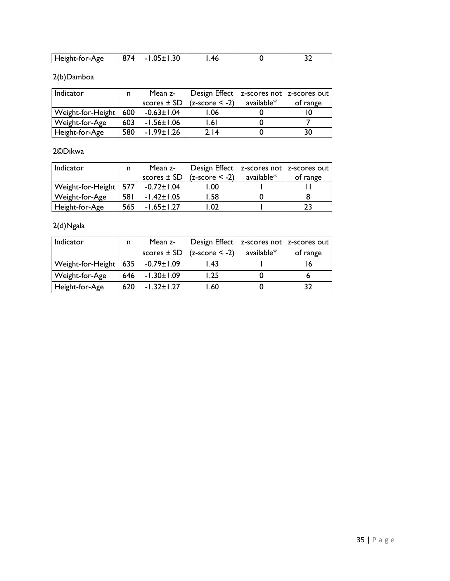| .30<br>l Height-for-Age<br><b><i>III</i></b><br>$\mathbf{A}$<br>. . |  |  |
|---------------------------------------------------------------------|--|--|
|---------------------------------------------------------------------|--|--|

## 2(b)Damboa

| Indicator             | n   | Mean z-          | Design Effect   z-scores not   z-scores out |            |          |
|-----------------------|-----|------------------|---------------------------------------------|------------|----------|
|                       |     | scores $\pm$ SD  | $(z-score < -2)$                            | available* | of range |
| Weight-for-Height     | 600 | $-0.63 \pm 1.04$ | .06 ا                                       |            |          |
| <b>Weight-for-Age</b> | 603 | $-1.56 \pm 1.06$ | I.61                                        |            |          |
| Height-for-Age        | 580 | $-1.99 \pm 1.26$ | 2.14                                        |            | 30       |

## 2©Dikwa

| Indicator               | n   | Mean z-          | Design Effect   z-scores not   z-scores out |            |          |
|-------------------------|-----|------------------|---------------------------------------------|------------|----------|
|                         |     |                  | scores $\pm$ SD   (z-score < -2)            | available* | of range |
| Weight-for-Height   577 |     | $-0.72 \pm 1.04$ | 0.00                                        |            |          |
| Weight-for-Age          | 581 | $-1.42 \pm 1.05$ | 1.58                                        |            |          |
| Height-for-Age          | 565 | $-1.65 \pm 1.27$ | .02                                         |            | 23       |

## 2(d)Ngala

| Indicator               | n   | Mean z-          | Design Effect   z-scores not   z-scores out |            |          |
|-------------------------|-----|------------------|---------------------------------------------|------------|----------|
|                         |     | scores $\pm$ SD  | $(z-score < -2)$                            | available* | of range |
| Weight-for-Height   635 |     | $-0.79 \pm 1.09$ | l.43                                        |            |          |
| <b>Weight-for-Age</b>   | 646 | $-1.30 \pm 1.09$ | I.25                                        |            |          |
| Height-for-Age          | 620 | $-1.32 \pm 1.27$ | 60. ا                                       |            | 32       |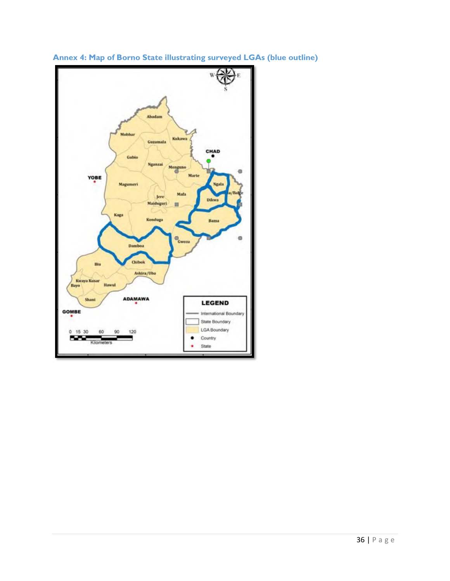

<span id="page-36-0"></span>**Annex 4: Map of Borno State illustrating surveyed LGAs (blue outline)**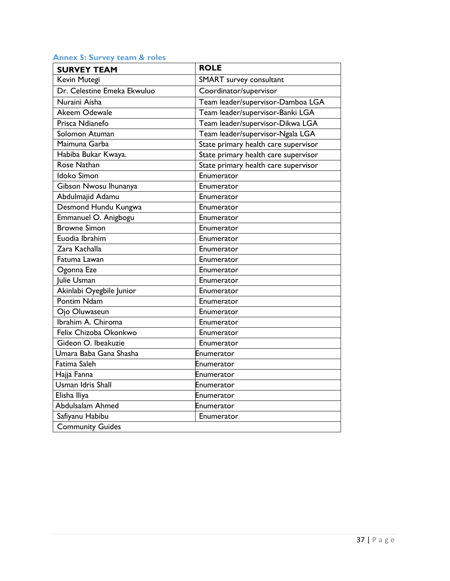## <span id="page-37-0"></span>**Annex 5: Survey team & roles**

| <b>SURVEY TEAM</b>          | <b>ROLE</b>                          |  |  |  |  |
|-----------------------------|--------------------------------------|--|--|--|--|
| Kevin Mutegi                | SMART survey consultant              |  |  |  |  |
| Dr. Celestine Emeka Ekwuluo | Coordinator/supervisor               |  |  |  |  |
| Nuraini Aisha               | Team leader/supervisor-Damboa LGA    |  |  |  |  |
| Akeem Odewale               | Team leader/supervisor-Banki LGA     |  |  |  |  |
| Prisca Ndianefo             | Team leader/supervisor-Dikwa LGA     |  |  |  |  |
| Solomon Atuman              | Team leader/supervisor-Ngala LGA     |  |  |  |  |
| Maimuna Garba               | State primary health care supervisor |  |  |  |  |
| Habiba Bukar Kwaya.         | State primary health care supervisor |  |  |  |  |
| Rose Nathan                 | State primary health care supervisor |  |  |  |  |
| <b>Idoko Simon</b>          | Enumerator                           |  |  |  |  |
| Gibson Nwosu Ihunanya       | Enumerator                           |  |  |  |  |
| Abdulmajid Adamu            | Enumerator                           |  |  |  |  |
| Desmond Hundu Kungwa        | Enumerator                           |  |  |  |  |
| Emmanuel O. Anigbogu        | Enumerator                           |  |  |  |  |
| <b>Browne Simon</b>         | Enumerator                           |  |  |  |  |
| Euodia Ibrahim              | Enumerator                           |  |  |  |  |
| Zara Kachalla               | Enumerator                           |  |  |  |  |
| Fatuma Lawan                | Enumerator                           |  |  |  |  |
| Ogonna Eze                  | Enumerator                           |  |  |  |  |
| Julie Usman                 | Enumerator                           |  |  |  |  |
| Akinlabi Oyegbile Junior    | Enumerator                           |  |  |  |  |
| Pontim Ndam                 | Enumerator                           |  |  |  |  |
| Ojo Oluwaseun               | Enumerator                           |  |  |  |  |
| Ibrahim A. Chiroma          | Enumerator                           |  |  |  |  |
| Felix Chizoba Okonkwo       | Enumerator                           |  |  |  |  |
| Gideon O. Ibeakuzie         | Enumerator                           |  |  |  |  |
| Umara Baba Gana Shasha      | Enumerator                           |  |  |  |  |
| Fatima Saleh                | Enumerator                           |  |  |  |  |
| Hajja Fanna                 | Enumerator                           |  |  |  |  |
| Usman Idris Shall           | Enumerator                           |  |  |  |  |
| Elisha Iliya                | Enumerator                           |  |  |  |  |
| Abdulsalam Ahmed            | Enumerator                           |  |  |  |  |
| Safiyanu Habibu             | Enumerator                           |  |  |  |  |
| <b>Community Guides</b>     |                                      |  |  |  |  |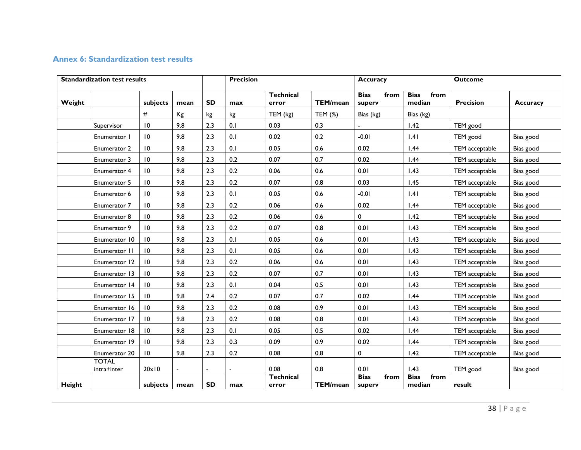## **Annex 6: Standardization test results**

<span id="page-38-0"></span>

| <b>Standardization test results</b> |               |                 |      |           | <b>Precision</b> |                           |                | <b>Accuracy</b>               |                               | <b>Outcome</b>   |                 |
|-------------------------------------|---------------|-----------------|------|-----------|------------------|---------------------------|----------------|-------------------------------|-------------------------------|------------------|-----------------|
| Weight                              |               | subjects        | mean | <b>SD</b> | max              | <b>Technical</b><br>error | TEM/mean       | <b>Bias</b><br>from<br>superv | <b>Bias</b><br>from<br>median | <b>Precision</b> | <b>Accuracy</b> |
|                                     |               | $\#$            | Kg   | kg        | kg               | TEM (kg)                  | <b>TEM (%)</b> | Bias (kg)                     | Bias (kg)                     |                  |                 |
|                                     | Supervisor    | 10              | 9.8  | 2.3       | 0.1              | 0.03                      | 0.3            |                               | 1.42                          | TEM good         |                 |
|                                     | Enumerator I  | 10              | 9.8  | 2.3       | 0.1              | 0.02                      | 0.2            | $-0.01$                       | .4                            | TEM good         | Bias good       |
|                                     | Enumerator 2  | 10              | 9.8  | 2.3       | 0.1              | 0.05                      | 0.6            | 0.02                          | 1.44                          | TEM acceptable   | Bias good       |
|                                     | Enumerator 3  | 10              | 9.8  | 2.3       | 0.2              | 0.07                      | 0.7            | 0.02                          | 1.44                          | TEM acceptable   | Bias good       |
|                                     | Enumerator 4  | $\overline{10}$ | 9.8  | 2.3       | 0.2              | 0.06                      | 0.6            | 0.01                          | 1.43                          | TEM acceptable   | Bias good       |
|                                     | Enumerator 5  | 10              | 9.8  | 2.3       | 0.2              | 0.07                      | 0.8            | 0.03                          | 1.45                          | TEM acceptable   | Bias good       |
|                                     | Enumerator 6  | 10              | 9.8  | 2.3       | 0.1              | 0.05                      | 0.6            | $-0.01$                       | .4                            | TEM acceptable   | Bias good       |
|                                     | Enumerator 7  | 10              | 9.8  | 2.3       | 0.2              | 0.06                      | 0.6            | 0.02                          | 1.44                          | TEM acceptable   | Bias good       |
|                                     | Enumerator 8  | 10              | 9.8  | 2.3       | 0.2              | 0.06                      | 0.6            | 0                             | 1.42                          | TEM acceptable   | Bias good       |
|                                     | Enumerator 9  | 10              | 9.8  | 2.3       | 0.2              | 0.07                      | 0.8            | 0.01                          | 1.43                          | TEM acceptable   | Bias good       |
|                                     | Enumerator 10 | 10              | 9.8  | 2.3       | 0.1              | 0.05                      | 0.6            | 0.01                          | 1.43                          | TEM acceptable   | Bias good       |
|                                     | Enumerator 11 | 10              | 9.8  | 2.3       | 0.1              | 0.05                      | 0.6            | 0.01                          | 1.43                          | TEM acceptable   | Bias good       |
|                                     | Enumerator 12 | 10              | 9.8  | 2.3       | 0.2              | 0.06                      | 0.6            | 0.01                          | 1.43                          | TEM acceptable   | Bias good       |
|                                     | Enumerator 13 | 10              | 9.8  | 2.3       | 0.2              | 0.07                      | 0.7            | 0.01                          | 1.43                          | TEM acceptable   | Bias good       |
|                                     | Enumerator 14 | $\overline{10}$ | 9.8  | 2.3       | 0.1              | 0.04                      | 0.5            | 0.01                          | 1.43                          | TEM acceptable   | Bias good       |
|                                     | Enumerator 15 | 10              | 9.8  | 2.4       | 0.2              | 0.07                      | 0.7            | 0.02                          | 1.44                          | TEM acceptable   | Bias good       |
|                                     | Enumerator 16 | 10              | 9.8  | 2.3       | 0.2              | 0.08                      | 0.9            | 0.01                          | 1.43                          | TEM acceptable   | Bias good       |
|                                     | Enumerator 17 | 10              | 9.8  | 2.3       | 0.2              | 0.08                      | 0.8            | 0.01                          | 1.43                          | TEM acceptable   | Bias good       |
|                                     | Enumerator 18 | 10              | 9.8  | 2.3       | 0.1              | 0.05                      | 0.5            | 0.02                          | 1.44                          | TEM acceptable   | Bias good       |
|                                     | Enumerator 19 | 10              | 9.8  | 2.3       | 0.3              | 0.09                      | 0.9            | 0.02                          | 1.44                          | TEM acceptable   | Bias good       |
|                                     | Enumerator 20 | 10              | 9.8  | 2.3       | 0.2              | 0.08                      | 0.8            | 0                             | 1.42                          | TEM acceptable   | Bias good       |
|                                     | <b>TOTAL</b>  |                 |      |           |                  |                           |                |                               |                               |                  |                 |
|                                     | intra+inter   | $20 \times 10$  |      |           |                  | 0.08<br><b>Technical</b>  | 0.8            | 0.01<br><b>Bias</b><br>from   | 1.43<br><b>Bias</b><br>from   | TEM good         | Bias good       |
| Height                              |               | subjects        | mean | <b>SD</b> | max              | error                     | TEM/mean       | superv                        | median                        | result           |                 |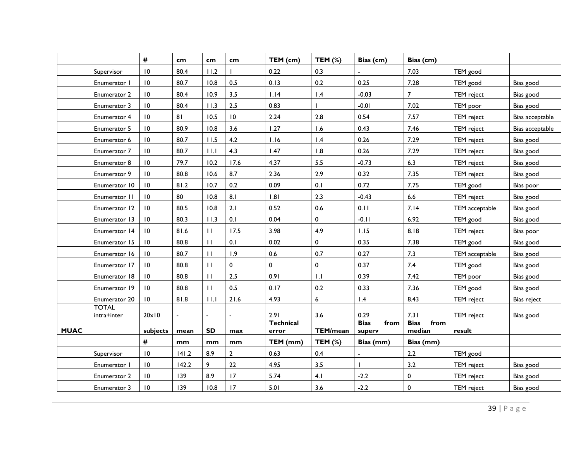|             |                      | #               | cm             | cm        | cm              | TEM (cm)         | <b>TEM (%)</b>   | Bias (cm)           | Bias (cm)           |                   |                 |
|-------------|----------------------|-----------------|----------------|-----------|-----------------|------------------|------------------|---------------------|---------------------|-------------------|-----------------|
|             | Supervisor           | $\overline{10}$ | 80.4           | 11.2      |                 | 0.22             | 0.3              |                     | 7.03                | TEM good          |                 |
|             | Enumerator           | $\overline{10}$ | 80.7           | 10.8      | 0.5             | 0.13             | 0.2              | 0.25                | 7.28                | TEM good          | Bias good       |
|             | Enumerator 2         | 10              | 80.4           | 10.9      | 3.5             | 1.14             | 1.4              | $-0.03$             | 7                   | TEM reject        | Bias good       |
|             | Enumerator 3         | $\overline{10}$ | 80.4           | 11.3      | $2.5$           | 0.83             |                  | $-0.01$             | 7.02                | TEM poor          | Bias good       |
|             | Enumerator 4         | 10              | 8 <sub>1</sub> | 10.5      | $\overline{10}$ | 2.24             | 2.8              | 0.54                | 7.57                | TEM reject        | Bias acceptable |
|             | Enumerator 5         | 10              | 80.9           | 10.8      | 3.6             | 1.27             | 1.6              | 0.43                | 7.46                | TEM reject        | Bias acceptable |
|             | Enumerator 6         | $\overline{10}$ | 80.7           | 11.5      | 4.2             | 1.16             | 1.4              | 0.26                | 7.29                | TEM reject        | Bias good       |
|             | Enumerator 7         | 10              | 80.7           | 11.1      | 4.3             | 1.47             | 1.8              | 0.26                | 7.29                | <b>TEM</b> reject | Bias good       |
|             | Enumerator 8         | 10              | 79.7           | 10.2      | 17.6            | 4.37             | 5.5              | $-0.73$             | 6.3                 | TEM reject        | Bias good       |
|             | Enumerator 9         | $\overline{10}$ | 80.8           | 10.6      | 8.7             | 2.36             | 2.9              | 0.32                | 7.35                | TEM reject        | Bias good       |
|             | Enumerator 10        | 10              | 81.2           | 10.7      | 0.2             | 0.09             | 0.1              | 0.72                | 7.75                | TEM good          | Bias poor       |
|             | Enumerator II        | $\overline{10}$ | 80             | 10.8      | 8.1             | 1.81             | 2.3              | $-0.43$             | 6.6                 | TEM reject        | Bias good       |
|             | Enumerator 12        | 10              | 80.5           | 10.8      | 2.1             | 0.52             | 0.6              | 0.11                | 7.14                | TEM acceptable    | Bias good       |
|             | Enumerator 13        | $\overline{10}$ | 80.3           | 11.3      | 0.1             | 0.04             | 0                | $-0.11$             | 6.92                | TEM good          | Bias good       |
|             | Enumerator 14        | 10              | 81.6           | $\perp$   | 17.5            | 3.98             | 4.9              | 1.15                | 8.18                | TEM reject        | Bias poor       |
|             | Enumerator 15        | $\overline{10}$ | 80.8           | $\perp$   | 0.1             | 0.02             | 0                | 0.35                | 7.38                | TEM good          | Bias good       |
|             | Enumerator 16        | 10              | 80.7           | $\perp$   | 1.9             | 0.6              | 0.7              | 0.27                | 7.3                 | TEM acceptable    | Bias good       |
|             | Enumerator 17        | $\overline{10}$ | 80.8           | $\perp$   | 0               | 0                | $\pmb{0}$        | 0.37                | 7.4                 | TEM good          | Bias good       |
|             | Enumerator 18        | $\overline{10}$ | 80.8           | $\perp$   | $2.5$           | 0.91             | $\mathbf{L}$     | 0.39                | 7.42                | TEM poor          | Bias good       |
|             | Enumerator 19        | $\overline{10}$ | 80.8           | $\perp$   | 0.5             | 0.17             | 0.2              | 0.33                | 7.36                | TEM good          | Bias good       |
|             | <b>Enumerator 20</b> | $\overline{10}$ | 81.8           | 11.1      | 21.6            | 4.93             | $\boldsymbol{6}$ | 1.4                 | 8.43                | TEM reject        | Bias reject     |
|             | <b>TOTAL</b>         | $20 \times 10$  |                |           |                 | 2.91             | 3.6              | 0.29                | 7.31                | <b>TEM</b> reject | Bias good       |
|             | intra+inter          |                 |                |           |                 | <b>Technical</b> |                  | <b>Bias</b><br>from | <b>Bias</b><br>from |                   |                 |
| <b>MUAC</b> |                      | subjects        | mean           | <b>SD</b> | max             | error            | TEM/mean         | superv              | median              | result            |                 |
|             |                      | #               | mm             | mm        | mm              | TEM (mm)         | <b>TEM (%)</b>   | Bias (mm)           | Bias (mm)           |                   |                 |
|             | Supervisor           | 10              | 141.2          | 8.9       | $\mathbf{2}$    | 0.63             | 0.4              |                     | 2.2                 | TEM good          |                 |
|             | Enumerator           | $\overline{10}$ | 142.2          | 9         | $22\,$          | 4.95             | 3.5              |                     | 3.2                 | TEM reject        | Bias good       |
|             | Enumerator 2         | $\overline{10}$ | 139            | 8.9       | 17              | 5.74             | 4.1              | $-2.2$              | 0                   | TEM reject        | Bias good       |
|             | Enumerator 3         | 10              | 139            | 10.8      | 17              | 5.01             | 3.6              | $-2.2$              | 0                   | <b>TEM</b> reject | Bias good       |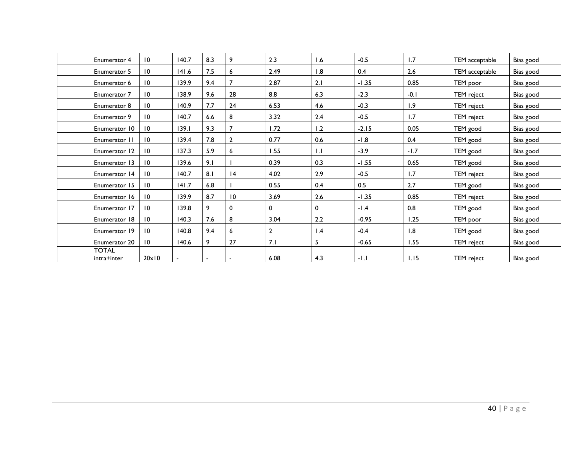| Enumerator 4                | $\overline{10}$ | 140.7 | 8.3            | 9               | 2.3            | 1.6             | $-0.5$  | 1.7    | TEM acceptable    | Bias good |
|-----------------------------|-----------------|-------|----------------|-----------------|----------------|-----------------|---------|--------|-------------------|-----------|
| <b>Enumerator 5</b>         | $\overline{10}$ | 141.6 | 7.5            | 6               | 2.49           | 1.8             | 0.4     | 2.6    | TEM acceptable    | Bias good |
| Enumerator 6                | $\overline{10}$ | 139.9 | 9.4            | $\overline{7}$  | 2.87           | 2.1             | $-1.35$ | 0.85   | TEM poor          | Bias good |
| <b>Enumerator 7</b>         | $\overline{10}$ | 138.9 | 9.6            | 28              | 8.8            | 6.3             | $-2.3$  | $-0.1$ | <b>TEM</b> reject | Bias good |
| Enumerator 8                | 10              | 140.9 | 7.7            | 24              | 6.53           | 4.6             | $-0.3$  | 1.9    | <b>TEM</b> reject | Bias good |
| Enumerator 9                | 10              | 140.7 | 6.6            | 8               | 3.32           | 2.4             | $-0.5$  | 1.7    | <b>TEM</b> reject | Bias good |
| Enumerator 10               | $\overline{10}$ | 139.1 | 9.3            | $\overline{7}$  | 1.72           | 1.2             | $-2.15$ | 0.05   | TEM good          | Bias good |
| Enumerator 11               | $\overline{10}$ | 139.4 | 7.8            | $\mathbf{2}$    | 0.77           | 0.6             | $-1.8$  | 0.4    | TEM good          | Bias good |
| Enumerator 12               | $\overline{10}$ | 137.3 | 5.9            | 6               | 1.55           | $  \cdot  $     | $-3.9$  | $-1.7$ | TEM good          | Bias good |
| Enumerator 13               | $\overline{10}$ | 139.6 | 9.1            |                 | 0.39           | 0.3             | $-1.55$ | 0.65   | TEM good          | Bias good |
| Enumerator 14               | $\overline{10}$ | 140.7 | 8.1            | 4               | 4.02           | 2.9             | $-0.5$  | 1.7    | TEM reject        | Bias good |
| Enumerator 15               | $\overline{10}$ | 141.7 | 6.8            |                 | 0.55           | 0.4             | 0.5     | 2.7    | TEM good          | Bias good |
| Enumerator 16               | $\overline{10}$ | 139.9 | 8.7            | $\overline{10}$ | 3.69           | 2.6             | $-1.35$ | 0.85   | <b>TEM</b> reject | Bias good |
| Enumerator 17               | $\overline{10}$ | 139.8 | 9              | 0               | 0              | 0               | $-1.4$  | 0.8    | TEM good          | Bias good |
| Enumerator 18               | $\overline{10}$ | 140.3 | 7.6            | 8               | 3.04           | 2.2             | $-0.95$ | 1.25   | TEM poor          | Bias good |
| Enumerator 19               | $\overline{10}$ | 140.8 | 9.4            | 6               | $\overline{2}$ | $\mathsf{I}$ .4 | $-0.4$  | 1.8    | TEM good          | Bias good |
| Enumerator 20               | $\overline{10}$ | 140.6 | 9              | 27              | 7.1            | 5               | $-0.65$ | 1.55   | <b>TEM</b> reject | Bias good |
| <b>TOTAL</b><br>intra+inter | $20 \times 10$  |       | $\blacksquare$ |                 | 6.08           | 4.3             | $-1.1$  | 1.15   | TEM reject        | Bias good |